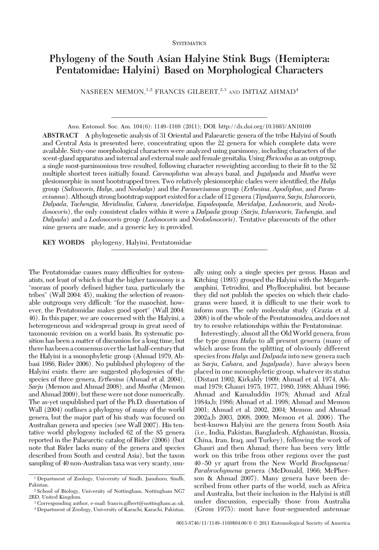# **SYSTEMATICS**

# **Phylogeny of the South Asian Halyine Stink Bugs (Hemiptera: Pentatomidae: Halyini) Based on Morphological Characters**

NASREEN MEMON,<sup>1,2</sup> FRANCIS GILBERT,<sup>2,3</sup> AND IMTIAZ AHMAD<sup>4</sup>

Ann. Entomol. Soc. Am. 104(6): 1149–1169 (2011); DOI: http://dx.doi.org/10.1603/AN10109 **ABSTRACT** A phylogenetic analysis of 31 Oriental and Palaearctic genera of the tribe Halyini of South and Central Asia is presented here, concentrating upon the 22 genera for which complete data were available. Sixty-one morphological characters were analyzed using parsimony, including characters of the scent-gland apparatus and internal and external male and female genitalia. Using *Phricodus* as an outgroup, a single most-parsimonious tree resulted, following character reweighting according to their fit to the 52 multiple shortest trees initially found. *Carenoplistus* was always basal, and *Jugalpada* and *Mustha* were plesiomorphic in most bootstrapped trees. Two relatively plesiomorphic clades were identified, the *Halys* group (*Salixocoris*, *Halys*, and *Neohalys*) and the *Paranevisanus* group (*Erthesina*, *Apodiphus*, and *Paranevisanus*). Although strong bootstrap support existed for a clade of 12 genera (*Tipulparra*, *Sarju*,*Izharocoris*, *Dalpada*, *Tachengia*, *Meridindia*, *Cahara*, *Ameridalpa*, *Eupaleopada*, *Meridalpa*, *Lodosocoris*, and *Neolodosocoris*), the only consistent clades within it were a *Dalpada* group (*Sarju*, *Izharocoris*, *Tachengia*, and *Dalpada*) and a *Lodosocoris* group (*Lodosocoris* and *Neolodosocoris*). Tentative placements of the other nine genera are made, and a generic key is provided.

**KEY WORDS** phylogeny, Halyini, Pentatomidae

The Pentatomidae causes many difficulties for systematists, not least of which is that the higher taxonomy is a "morass of poorly defined higher taxa, particularly the tribes" (Wall 2004: 45), making the selection of reasonable outgroups very difficult: "for the masochist, however, the Pentatomidae makes good sport" (Wall 2004: 46). In this paper, we are concerned with the Halyini, a heterogeneous and widespread group in great need of taxonomic revision on a world basis. Its systematic position has been a matter of discussion for a long time, but there has beena consensus over thelast half-century that the Halyini is a monophyletic group (Ahmad 1979, Abbasi 1986, Rider 2006). No published phylogeny of the Halyini exists: there are suggested phylogenies of the species of three genera, *Erthesina* (Ahmad et al. 2004), *Sarju* (Memon and Ahmad 2008), and *Mustha* (Memon and Ahmad 2009), but these were not done numerically. The as-yet unpublished part of the Ph.D. dissertation of Wall (2004) outlines a phylogeny of many of the world genera, but the major part of his study was focused on Australian genera and species (see Wall 2007). His tentative world phylogeny included 62 of the 85 genera reported in the Palaearctic catalog of Rider (2006) (but note that Rider lacks many of the genera and species described from South and central Asia), but the taxon sampling of 40 non-Australian taxa was very scanty, usu-

ally using only a single species per genus. Hasan and Kitching (1993) grouped the Halyini with the Megarrhamphini, Tetrodini, and Phyllocephalini, but because they did not publish the species on which their cladograms were based, it is difficult to use their work to inform ours. The only molecular study (Grazia et al. 2008) is of the whole of the Pentatomoidea, and does not try to resolve relationships within the Pentatominae.

Interestingly, almost all the Old World genera, from the type genus *Halys* to all present genera (many of which arose from the splitting of obviously different species from *Halys* and *Dalpada* into new genera such as *Sarju, Cahara,* and *Jugalpada*), have always been placed in one monophyletic group, whatever its status (Distant 1902; Kirkaldy 1909; Ahmad et al. 1974, Ahmad 1979; Ghauri 1975, 1977, 1980, 1988; Ahhasi 1986; Ahmad and Kamaluddin 1978; Ahmad and Afzal 1984a,b; 1986; Ahmad et al. 1998; Ahmad and Memon 2001; Ahmad et al. 2002, 2004; Memon and Ahmad 2002a,b 2003, 2008, 2009; Memon et al. 2006). The best-known Halyini are the genera from South Asia (i.e., India, Pakistan, Bangladesh, Afghanistan, Russia, China, Iran, Iraq, and Turkey), following the work of Ghauri and then Ahmad; there has been very little work on this tribe from other regions over the past 40 Ð50 yr apart from the New World *Brochymena*/ *Parabrochymena* genera (McDonald, 1966; McPherson & Ahmad 2007). Many genera have been described from other parts of the world, such as Africa and Australia, but their inclusion in the Halyini is still under discussion, especially those from Australia (Gross 1975): most have four-segmented antennae

<sup>1</sup> Department of Zoology, University of Sindh, Jamshoro, Sindh, Pakistan.

<sup>2</sup> School of Biology, University of Nottingham, Nottingham NG7 2RD, United Kingdom.

<sup>3</sup> Corresponding author, e-mail: francis.gilbert@nottingham.ac.uk.

<sup>4</sup> Department of Zoology, University of Karachi, Karachi, Pakistan.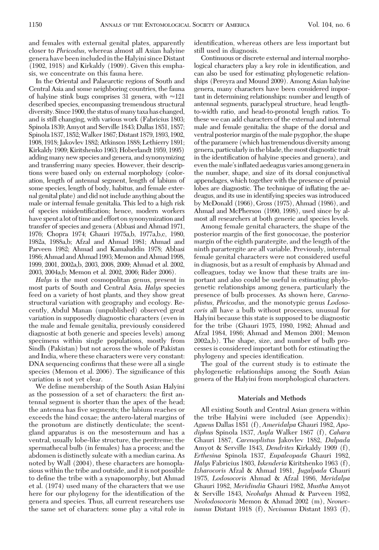and females with external genital plates, apparently closer to *Phricodus,* whereas almost all Asian halyine genera have beenincludedin the Halyini since Distant (1902, 1918) and Kirkaldy (1909). Given this emphasis, we concentrate on this fauna here.

In the Oriental and Palaearctic regions of South and Central Asia and some neighboring countries, the fauna of halyine stink bugs comprises 31 genera, with  $\approx 121$ described species, encompassing tremendous structural diversity. Since 1900, the status of many taxa has changed, and is still changing, with various work (Fabricius 1803; Spinola 1839; Amyot and Serville 1843; Dallas 1851, 1857; Spinola 1837, 1852;Walker 1867;Distant 1879, 1893, 1902, 1908, 1918; Jakovlev 1882; Atkinson 1888; Lethierry 1891; Kirkaldy 1909; Kiritshenko 1963; Hoberlandt 1959, 1995) adding many new species and genera, and synonymizing and transferring many species. However, their descriptions were based only on external morphology (coloration, length of antennal segment, length of labium of some species, length of body, habitus, and female external genital plate) and did not include anything about the male or internal female genitalia. This led to a high risk of species misidentification; hence, modern workers have spent a lot of time and effort on synonymization and transfer of species and genera (Abbasi and Ahmad 1971, 1976; Chopra 1974; Ghauri 1975a,b, 1977a,b,c, 1980, 1982a, 1988a,b; Afzal and Ahmad 1981; Ahmad and Parveen 1982; Ahmad and Kamaluddin 1978; Abbasi 1986; Ahmad and Ahmad 1993; Memon and Ahmad 1998, 1999, 2001, 2002a,b, 2003, 2008, 2009; Ahmad et al. 2002, 2003, 2004a,b; Memon et al. 2002, 2006; Rider 2006).

*Halys* is the most cosmopolitan genus, present in most parts of South and Central Asia. *Halys* species feed on a variety of host plants, and they show great structural variation with geography and ecology. Recently, Abdul Manan (unpublished) observed great variation in supposedly diagnostic characters (even in the male and female genitalia, previously considered diagnostic at both generic and species levels) among specimens within single populations, mostly from Sindh (Pakistan) but not across the whole of Pakistan and India, where these characters were very constant: DNA sequencing confirms that these were all a single species (Memon et al. 2006). The significance of this variation is not yet clear.

We define membership of the South Asian Halyini as the possession of a set of characters: the first antennal segment is shorter than the apex of the head; the antenna has five segments; the labium reaches or exceeds the hind coxae; the antero-lateral margins of the pronotum are distinctly denticulate; the scentgland apparatus is on the mesosternum and has a ventral, usually lobe-like structure, the peritreme; the spermathecal bulb (in females) has a process; and the abdomen is distinctly sulcate with a median carina. As noted by Wall (2004), these characters are homoplasious within the tribe and outside, and it is not possible to define the tribe with a synapomorphy, but Ahmad et al. (1974) used many of the characters that we use here for our phylogeny for the identification of the genera and species. Thus, all current researchers use the same set of characters: some play a vital role in

identification, whereas others are less important but still used in diagnosis.

Continuous or discrete external and internal morphological characters play a key role in identification, and can also be used for estimating phylogenetic relationships (Pereyra and Mound 2009). Among Asian halyine genera, many characters have been considered important in determining relationships: number and length of antennal segments, paraclypeal structure, head lengthto-width ratio, and head-to-pronotal length ratios. To these we can add characters of the external and internal male and female genitalia: the shape of the dorsal and ventral posterior margin of the male pygophor, the shape of the paramere (which has tremendous diversity among genera, particularlyin the blade, themost diagnostic trait in the identification of halyine species and genera), and even the male's inflated aedeagus varies among genera in the number, shape, and size of its dorsal conjunctival appendages, which together with the presence of penial lobes are diagnostic. The technique of inflating the aedeagus, and its use in identifying species was introduced by McDonald (1966), Gross (1975), Ahmad (1986), and Ahmad and McPherson (1990, 1998), used since by almost all researchers at both generic and species levels.

Among female genital characters, the shape of the posterior margin of the first gonocoxae, the posterior margin of the eighth paratergite, and the length of the ninth parartergite are all variable. Previously, internal female genital characters were not considered useful in diagnosis, but as a result of emphasis by Ahmad and colleagues, today we know that these traits are important and also could be useful in estimating phylogenetic relationships among genera, particularly the presence of bulb processes. As shown here, *Carenoplistus, Phricodus,* and the monotypic genus *Lodosocoris* all have a bulb without processes, unusual for Halyini because this state is supposed to be diagnostic for the tribe (Ghauri 1975, 1980, 1982; Ahmad and Afzal 1984, 1986; Ahmad and Memon 2001; Memon 2002a,b). The shape, size, and number of bulb processes is considered important both for estimating the phylogeny and species identification.

The goal of the current study is to estimate the phylogenetic relationships among the South Asian genera of the Halyini from morphological characters.

### **Materials and Methods**

All existing South and Central Asian genera within the tribe Halyini were included (see Appendix): *Agaeus* Dallas 1851 (f), *Ameridalpa* Ghauri 1982, *Apodiphus* Spinola 1837, *Asyla* Walker 1867 (f), *Cahara* Ghauri 1887, *Carenoplistus* Jakovlev 1882, *Dalpada* Amyot & Serville 1843, *Dendrites* Kirkaldy 1909 (f), *Erthesina* Spinola 1837, *Eupaleopada* Ghauri 1982, *Halys* Fabricius 1803, *Iskenderia* Kiritshenko 1963 (f), *Izharocoris* Afzal & Ahmad 1981, *Jugalpada* Ghauri 1975, *Lodosocoris* Ahmad & Afzal 1986, *Meridalpa* Ghauri 1982, *Meridindia* Ghauri 1982, *Mustha* Amyot & Serville 1843, *Neohalys* Ahmad & Parveen 1982, *Neolodosocoris* Memon & Ahmad 2002 (m), *Neonevisanus* Distant 1918 (f), *Nevisanus* Distant 1893 (f),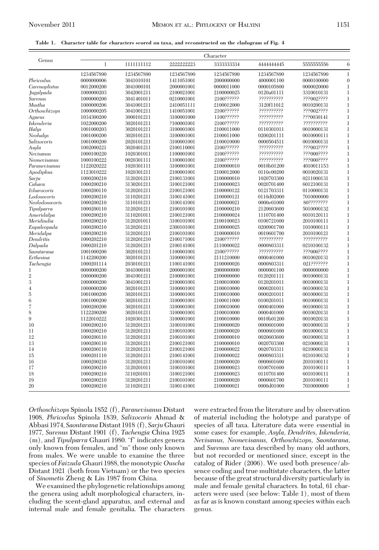#### **Table 1. Character table for characters scored on taxa, and reconstructed on the cladogram of Fig. 4**

|                | Character    |             |            |             |             |             |              |
|----------------|--------------|-------------|------------|-------------|-------------|-------------|--------------|
| Genus          | $\mathbf{1}$ | 11111111112 | 2222222223 | 3333333334  | 444444445   | 5555555556  | 6            |
|                | 1234567890   | 1234567890  | 1234567890 | 1234567890  | 1234567890  | 1234567890  | $\mathbf{1}$ |
| Phricodus      | 0000000006   | 3041010101  | 1411051001 | 2000000000  | 4000001100  | 0000100000  | $\theta$     |
| Carenoplistus  | 0012000200   | 3041000101  | 2000001001 | 0000011000  | 0000105800  | 0000020000  | 1            |
| Jugalpada      | 1000000203   | 3042001211  | 2100021001 | 2100000025  | 0120a01111  | 3310010131  | 1            |
| Surenus        | 1000000200   | 3041401011  | 0210001001 | 2100??????  | ??????????  | ???002????  | 1            |
| Mustha         | 1000000206   | 3041001211  | 2410051111 | 2100012000  | 3120f11012  | 0010200131  | 1            |
| Orthoschizops  | 1000000205   | 3041001211  | 1410051001 | 2100??????  | ??????????  | ???002????  | 1            |
| Agaeus         | 1034300200   | 3000101211  | 3100001000 | 1100??????  | ??????????  | ???0030141  | 1            |
| Iskenderia     | 1022000200   | 3020101211  | ?100001001 | 2100??????? | ??????????? | ??????????? | 1            |
| Halys          | 1001000203   | 3020101211  | 3100001001 | 2100011000  | 0110301011  | 0010000131  | 1            |
| Neohalys       | 1001000200   | 3020101211  | 3100001001 | 2100011000  | 0200201111  | 0010000111  | 1            |
| Salixocoris    | 1001000200   | 2020101211  | 3100001001 | 2100010000  | 0000504511  | 0010000131  | 1            |
| Asyla          | 1002000221   | 3020401211  | 2100110001 | 2100??????  | ??????????? | ???003????  | 1            |
| Nevisanus      | 1000100220   | 1020301011  | 1100001001 | 2100??????  | ??????????  | ???000????  | 1            |
| Neonevisanus   | 1000100222   | 0020301111  | 1100001001 | 2100??????? | ??????????? | ???000????  | 1            |
| Paranevisanus  | 1122020222   | 1020301111  | 3100001001 | 2100000010  | 0010b01200  | 4010011153  | 1            |
| Apodiphus      | 1123010222   | 1020301211  | 2100001001 | 2100012000  | 0110c00200  | 0010020131  | 1            |
| Sarju          | 1000200210   | 3120201211  | 2100131001 | 2100000010  | 1020703300  | 0211000131  | 1            |
| Cahara         | 1000200210   | 3130201211  | 3100121001 | 2100000023  | 0020701400  | 6012100131  | 1            |
| Izharocoris    | 1000200110   | 3120201211  | 2100121001 | 2100000122  | 0121703311  | 0110000131  | 1            |
| Lodosocoris    | 1000200210   | 3110201211  | 3100141001 | 2100000121  | 0110d02000  | 7010000000  | 1            |
| Neolodosocoris | 1000200210   | 3110101211  | 3100141001 | 2100000021  | 0000e01000  | 80????????? | 1            |
| Tipulparra     | 1000200110   | 3120201211  | 2100101001 | 2100000210  | 2120603600  | 5010000132  | 1            |
| Ameridalpa     | 1000200210   | 3110201011  | 2100121001 | 2100000024  | 1110701400  | 6010120111  | 1            |
| Meridindia     | 1000200210   | 3120201011  | 3100101001 | 2100100023  | 0100721600  | 2010100111  | 1            |
| Eupaleopada    | 1000200210   | 3120201211  | 2300101001 | 2100000025  | 0200901700  | 1010000111  | 1            |
| Meridalpa      | 1000200210   | 3120201211  | 2100101001 | 2100000010  | 0010601700  | 2010100121  | 1            |
| Dendritis      | 1000202210   | 3120201210  | 21001?1001 | 2100??????  | ??????????? | ??????????  | 1            |
| Dalpada        | 1000201210   | 3120201211  | 2100141001 | 2110000022  | 0000803311  | 0210100132  | 1            |
| Saontarana     | 1001000200   | 3020101211  | 1100001001 | 2100??????  | ??????????  | ???000????  | 1            |
| Erthesina      | 1142200200   | 3020101211  | 3100001001 | 2111210000  | 0000401000  | 0010020131  | 1            |
| Tachengia      | 1000201114   | 2030101211  | 1100141001 | 2100000026  | 0000803311  | 021???????  | 1            |
| 1              | 0000000200   | 3041000101  | 2000001001 | 2000000000  | 0000001100  | 0000000000  | 1            |
| $\mathfrak{2}$ | 1000000200   | 3041001211  | 2100001001 | 2100000000  | 0120201111  | 0010000131  | 1            |
| 3              | 1000000200   | 3041001211  | 2100001001 | 2100010000  | 0120201011  | 0010000131  | 1            |
| 4              | 1000000200   | 3020101211  | 3100001001 | 2100010000  | 0000201011  | 0010000131  | 1            |
| $\overline{5}$ | 1001000200   | 3020101211  | 3100001001 | 2100010000  | 0000201011  | 0010000131  | 1            |
| 6              | 1001000200   | 3020101211  | 3100001001 | 2100011000  | 0100201011  | 0010000131  | 1            |
| 7              | 1000200200   | 3020101211  | 3100001001 | 2100010000  | 0000401000  | 0010000131  | 1            |
| 8              | 1122200200   | 3020101211  | 3100001001 | 2100010000  | 0000401000  | 0010020131  | 1            |
| 9              | 1122010222   | 1020301211  | 3100001001 | 2100010000  | 0010b01200  | 0010020131  | 1            |
| 10             | 1000200210   | 3120201211  | 3100101001 | 2100000020  | 0000601000  | 0010000131  | 1            |
| 11             | 1000200210   | 3120201211  | 2100101001 | 2100000020  | 0000601600  | 0010000131  | 1            |
| 12             | 1000200110   | 3120201211  | 2100101001 | 2100000010  | 0020603600  | 0010000131  | 1            |
| 13             | 1000200110   | 3120201211  | 2100121001 | 2100000010  | 0020703300  | 0210000131  | 1            |
| 14             | 1000200110   | 3120201211  | 2100121001 | 2100000022  | 0020703311  | 0210000131  | 1            |
| 15             | 1000201110   | 3120201211  | 2100141001 | 2100000022  | 0000803311  | 0210100132  | 1            |
| 16             | 1000200210   | 3120201211  | 2100101001 | 2100000020  | 0000601600  | 2010100111  | 1            |
| 17             | 1000200210   | 3120201011  | 3100101001 | 2100000023  | 0100701600  | 2010100111  | 1            |
| 18             | 1000200210   | 3110201011  | 3100121001 | 2100000023  | 0110701400  | 6010100111  | 1            |
| 19             | 1000200210   | 3120201211  | 2100101001 | 2100000020  | 0000601700  | 2010100111  | 1            |
| 20             | 1000200210   | 3110201211  | 3100141001 | 2100000021  | 0000d01000  | 7010000000  | 1            |
|                |              |             |            |             |             |             |              |

*Orthoschizops* Spinola 1852 (f), *Paranevisanus* Distant 1908, *Phricodus* Spinola 1839, *Salixocoris* Ahmad & Abbasi 1974, *Saontarana* Distant 1918 (f), *Sarju* Ghauri 1977, *Surenus* Distant 1901 (f), *Tachengia* China 1925 (m), and *Tipulparra* Ghauri 1980. "f" indicates genera only known from females, and "m" those only known from males. We were unable to examine the three species of *Faizuda* Ghauri 1988, the monotypic *Ouscha* Distant 1921 (both from Vietnam) or the two species of *Sinometis* Zheng & Lin 1987 from China.

We examined the phylogenetic relationships among the genera using adult morphological characters, including the scent-gland apparatus, and external and internal male and female genitalia. The characters

were extracted from the literature and by observation of material including the holotype and paratype of species of all taxa. Literature data were essential in some cases: for example, *Asyla, Dendrites, Iskenderia, Nevisanus, Neonevisanus, Orthoschizops, Saontarana,* and *Surenus* are taxa described by many old authors, but not recorded or mentioned since, except in the catalog of Rider (2006). We used both presence/absence coding and true multistate characters, the latter because of the great structural diversity particularly in male and female genital characters. In total, 61 characters were used (see below: Table 1), most of them as far as is known constant among species within each genus.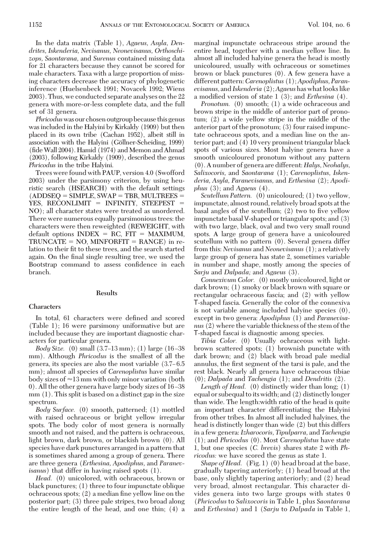In the data matrix (Table 1), *Agaeus, Asyla, Dendrites, Iskenderia, Nevisanus, Neonevisanus, Orthoschizops, Saontarana,* and *Surenus* contained missing data for 21 characters because they cannot be scored for male characters. Taxa with a large proportion of missing characters decrease the accuracy of phylogenetic inference (Huelsenbeck 1991; Novacek 1992; Wiens 2003). Thus, we conducted separate analyses on the 22 genera with more-or-less complete data, and the full set of 31 genera.

*Phricodus*was our chosen outgroup because this genus was included in the Halyini by Kirkaldy (1909) but then placed in its own tribe (Cachan 1952), albeit still in association with the Halyini (Göllner-Scheiding, 1999)  $(\text{fide Wall 2004})$ . Hamid  $(1974)$  and Memon and Ahmad (2003), following Kirkaldy (1909), described the genus *Phricodus* in the tribe Halyini.

Trees were found with PAUP, version 4.0 (Swofford 2003) under the parsimony criterion, by using heuristic search (HSEARCH) with the default settings  $(ADDSEQ = SIMPLE, SWAP = TBR, MULTREES =$ YES, RECONLIMIT = INFINITY, STEEPEST = NO); all character states were treated as unordered. There were numerous equally parsimonious trees: the characters were then reweighted (REWEIGHT, with  $default options INDEX = RC, FIT = MAXIMUM,$  $TRUNCATE = NO$ ,  $MINFORM = RANCE$ ) in relation to their fit to these trees, and the search started again. On the final single resulting tree, we used the Bootstrap command to assess confidence in each branch.

### **Results**

### **Characters**

In total, 61 characters were defined and scored (Table 1); 16 were parsimony uniformative but are included because they are important diagnostic characters for particular genera.

*Body Size.* (0) small  $(3.7–13 \text{ mm})$ ; (1) large  $(16–38$ mm). Although *Phricodus* is the smallest of all the genera, its species are also the most variable  $(3.7–6.5)$ mm); almost all species of *Carenoplistus* have similar body sizes of  $\approx$ 13 mm with only minor variation (both 0). All the other genera have large body sizes of 16-38 mm (1). This split is based on a distinct gap in the size spectrum.

*Body Surface.* (0) smooth, patterned; (1) mottled with raised ochraceous or bright yellow irregular spots. The body color of most genera is normally smooth and not raised, and the pattern is ochraceous, light brown, dark brown, or blackish brown (0). All species have dark punctures arranged in a pattern that is sometimes shared among a group of genera. There are three genera (*Erthesina, Apodiphus,* and *Paranevisanus*) that differ in having raised spots (1).

*Head.* (0) unicolored, with ochraceous, brown or black punctures; (1) three to four impunctate oblique ochraceous spots;  $(2)$  a median fine yellow line on the posterior part; (3) three pale stripes, two broad along the entire length of the head, and one thin; (4) a

marginal impunctate ochraceous stripe around the entire head, together with a median yellow line. In almost all included halyine genera the head is mostly unicoloured, usually with ochraceous or sometimes brown or black punctures (0). A few genera have a different pattern:*Carenoplistus* (1);*Apodiphus, Paranevisanus,* and*Iskenderia* (2);*Agaeus*has whatlookslike a modified version of state 1 (3); and *Erthesina* (4).

*Pronotum.* (0) smooth; (1) a wide ochraceous and brown stripe in the middle of anterior part of pronotum; (2) a wide yellow stripe in the middle of the anterior part of the pronotum; (3) four raised impunctate ochraceous spots, and a median line on the anterior part; and (4) 10 very prominent triangular black spots of various sizes. Most halyine genera have a smooth unicoloured pronotum without any pattern (0). A number of genera are different: *Halys, Neohalys, Salixocoris,* and *Saontarana* (1); *Carenoplistus, Iskenderia, Asyla, Paranevisanus,* and *Erthesina* (2); *Apodiphus* (3); and *Agaeus* (4).

*Scutellum Pattern.* (0) unicoloured; (1) two yellow, impunctate, almost round, relatively broad spots at the basal angles of the scutellum;  $(2)$  two to five yellow impunctate basal V-shaped or triangular spots; and (3) with two large, black, oval and two very small round spots. A large group of genera have a unicoloured scutellum with no pattern (0). Several genera differ from this: *Nevisanus* and *Neonevisanus* (1); a relatively large group of genera has state 2, sometimes variable in number and shape, mostly among the species of *Sarju* and *Dalpada;* and *Agaeus* (3).

*Connexivum Color.* (0) mostly unicoloured, light or dark brown; (1) smoky or black brown with square or rectangular ochraceous fascia; and (2) with yellow T-shaped fascia. Generally the color of the connexiva is not variable among included halyine species (0), except in two genera: *Apodiphus* (1) and *Paranevisanus* (2) where the variable thickness of the stem of the T-shaped fascai is diagnostic among species.

*Tibia Color.* (0) Usually ochraceous with lightbrown scattered spots; (1) brownish punctate with dark brown; and (2) black with broad pale medial annulus, the first segment of the tarsi is pale, and the rest black. Nearly all genera have ochraceous tibiae (0); *Dalpada* and *Tachengia* (1); and *Dendritis* (2).

*Length of Head.* (0) distinctly wider than long; (1) equal or subequal to its width; and (2) distinctly longer than wide. The length:width ratio of the head is quite an important character differentiating the Halyini from other tribes. In almost all included halyines, the head is distinctly longer than wide (2) but this differs in a few genera:*Izharocoris, Tipulparra,* and *Tachengia* (1); and *Phricodus* (0). Most *Carenoplistus* have state 1, but one species (*C. brevis*) shares state 2 with *Phricodus:* we have scored the genus as state 1.

*Shape of Head.* (Fig. 1) (0) head broad at the base, gradually tapering anteriorly; (1) head broad at the base, only slightly tapering anteriorly; and (2) head very broad, almost rectangular. This character divides genera into two large groups with states 0 (*Phricodus* to *Salixocoris* in Table 1, plus *Saontarana* and *Erthesina*) and 1 (*Sarju* to *Dalpada* in Table 1,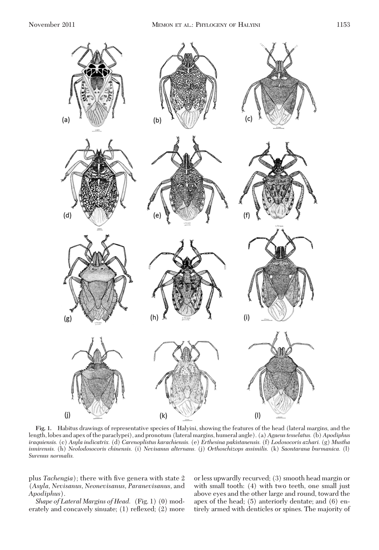

**Fig. 1.** Habitus drawings of representative species of Halyini, showing the features of the head (lateral margins, and the length, lobes and apex of the paraclypei), and pronotum (lateral margins, humeral angle). (a)*Agaeus tesselatus.* (b)*Apodiphus iraquiensis.* (c) *Asyla indicatrix.* (d) *Carenoplistus karachiensis.* (e) *Erthesina pakistanensis.* (f) *Lodosocoris azhari.* (g) *Mustha ismirensis.* (h) *Neolodosocoris chinensis.* (i) *Nevisanus alternans.* (j) *Orthoschizops assimilis.* (k) *Saontarana burmanica.* (l) *Surenus normalis.*

plus *Tachengia*); there with five genera with state 2 (*Asyla, Nevisanus, Neonevisanus, Paranevisanus,* and *Apodiphus*).

*Shape of Lateral Margins of Head.* (Fig. 1) (0) moderately and concavely sinuate; (1) reßexed; (2) more or less upwardly recurved; (3) smooth head margin or with small tooth: (4) with two teeth, one small just above eyes and the other large and round, toward the apex of the head; (5) anteriorly dentate; and (6) entirely armed with denticles or spines. The majority of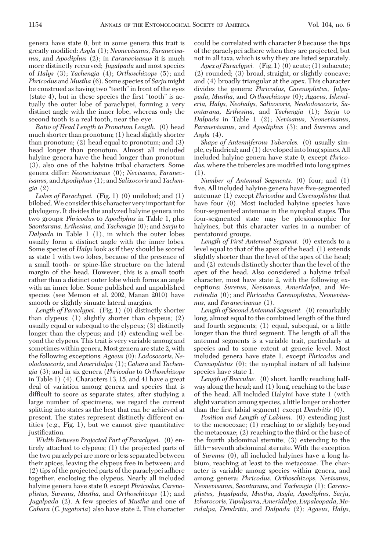genera have state 0, but in some genera this trait is greatly modified: Asyla (1); *Neonevisanus, Paranevisanus,* and *Apodiphus* (2); in *Paranevisanus* it is much more distinctly recurved; *Jugalpada* and most species of *Halys* (3); *Tachengia* (4); *Orthoschizops* (5); and *Phricodus* and *Mustha* (6). Some species of *Sarju* might be construed as having two "teeth"in front of the eyes  $(\text{state } 4)$ , but in these species the first "tooth" is actually the outer lobe of paraclypei, forming a very distinct angle with the inner lobe, whereas only the second tooth is a real tooth, near the eye.

*Ratio of Head Length to Pronotum Length.* (0) head much shorter than pronotum; (1) head slightly shorter than pronotum; (2) head equal to pronotum; and (3) head longer than pronotum. Almost all included halyine genera have the head longer than pronotum (3), also one of the halyine tribal characters. Some genera differ: *Neonevisanus* (0); *Nevisanus, Paranevisanus,* and *Apodiphus* (1); and *Salixocoris* and *Tachengia* (2).

*Lobes of Paraclypei.* (Fig. 1) (0) unilobed; and (1) bilobed.We consider this character very important for phylogeny. It divides the analyzed halyine genera into two groups: *Phricodus* to *Apodiphus* in Table 1, plus *Saontarana, Erthesina,* and *Tachengia* (0); and *Sarju* to *Dalpada* in Table 1 (1), in which the outer lobes usually form a distinct angle with the inner lobes. Some species of *Halys* look as if they should be scored as state 1 with two lobes, because of the presence of a small tooth- or spine-like structure on the lateral margin of the head. However, this is a small tooth rather than a distinct outer lobe which forms an angle with an inner lobe. Some published and unpublished species (see Memon et al. 2002, Manan 2010) have smooth or slightly sinuate lateral margins.

*Length of Paraclypei.* (Fig. 1) (0) distinctly shorter than clypeus; (1) slightly shorter than clypeus; (2) usually equal or subequal to the clypeus; (3) distinctly longer than the clypeus; and (4) extending well beyond the clypeus. This trait is very variable among and sometimes within genera.Most genera are state 2, with the following exceptions: *Agaeus* (0); *Lodosocoris, Neolodosocoris,* and *Ameridalpa* (1); *Cahara* and *Tachengia* (3); and in six genera (*Phricodus* to *Orthoschizops* in Table 1) (4). Characters 13, 15, and 41 have a great deal of variation among genera and species that is difficult to score as separate states; after studying a large number of specimens, we regard the current splitting into states as the best that can be achieved at present. The states represent distinctly different entities (e.g., Fig. 1), but we cannot give quantitative justification.

*Width Between Projected Part of Paraclypei.* (0) entirely attached to clypeus; (1) the projected parts of the two paraclypei are more or less separated between their apices, leaving the clypeus free in between; and (2) tips of the projected parts of the paraclypei adhere together, enclosing the clypeus. Nearly all included halyine genera have state 0, except *Phricodus, Carenoplistus, Surenus, Mustha,* and *Orthoschizops* (1); and *Jugalpada* (2). A few species of *Mustha* and one of *Cahara* (*C. jugatoria*) also have state 2. This character could be correlated with character 9 because the tips of the paraclypei adhere when they are projected, but not in all taxa, which is why they are listed separately.

*Apex of Paraclypei.* (Fig. 1) (0) acute; (1) subacute; (2) rounded; (3) broad, straight, or slightly concave; and (4) broadly triangular at the apex. This character divides the genera: *Phricodus, Carenoplistus, Julgapada, Mustha,* and *Orthoschizops* (0); *Agaeus, Iskenderia, Halys, Neohalys, Salixocoris, Neolodosocoris, Saontarana, Erthesina,* and *Tachengia* (1); *Sarju* to *Dalpada* in Table 1 (2); *Nevisanus, Neonevisanus, Paranevisanus,* and *Apodiphus* (3); and *Surenus* and *Asyla* (4).

*Shape of Antenniferous Tubercles.* (0) usually simple, cylindrical; and (1) developedintolong spines. All included halyine genera have state 0, except *Phricodus*, where the tubercles are modified into long spines (1).

*Number of Antennal Segments.* (0) four; and (1) five. All included halyine genera have five-segmented antennae (1) except *Phricodus* and *Carenoplistus* that have four  $(0)$ . Most included halyine species have four-segmented antennae in the nymphal stages. The four-segmented state may be plesiomorphic for halyines, but this character varies in a number of pentatomid groups.

*Length of First Antennal Segment.* (0) extends to a level equal to that of the apex of the head; (1) extends slightly shorter than the level of the apex of the head; and (2) extends distinctly shorter than the level of the apex of the head. Also considered a halyine tribal character, most have state 2, with the following exceptions: *Surenus, Nevisanus, Ameridalpa,* and *Meridindia* (0); and *Phricodus Carenoplistus, Neonevisanus,* and *Paranevisanus* (1).

*Length of Second Antennal Segment.* (0) remarkably long, almost equal to the combined length of the third and fourth segments; (1) equal, subequal, or a little longer than the third segment. The length of all the antennal segments is a variable trait, particularly at species and to some extent at generic level. Most included genera have state 1, except *Phricodus* and *Carenoplistus* (0); the nymphal instars of all halyine species have state 1.

*Length of Bucculae.* (0) short, hardly reaching halfway along the head; and (1) long, reaching to the base of the head. All included Halyini have state 1 (with slight variation among species, a little longer or shorter than the first labial segment) except *Dendritis* (0).

*Position and Length of Labium.* (0) extending just to the mesocoxae; (1) reaching to or slightly beyond the metacoxae; (2) reaching to the third or the base of the fourth abdominal sternite; (3) extending to the fifth-seventh abdominal sternite. With the exception of *Surenus* (0), all included halyines have a long labium, reaching at least to the metacoxae. The character is variable among species within genera, and among genera: *Phricodus, Orthoschizops, Nevisanus, Neonevisanus, Saontarana,* and *Tachengia* (1); *Carenoplistus, Jugalpada, Mustha, Asyla, Apodiphus, Sarju, Izharocoris, Tipulparra, Ameridalpa, Eupaleopada, Meridalpa, Dendritis,* and *Dalpada* (2); *Agaeus, Halys,*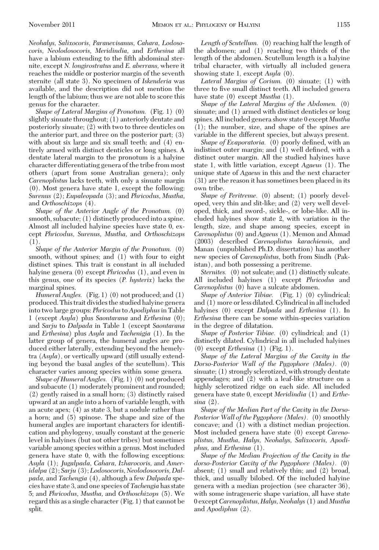*Shape of Lateral Margins of Pronotum.* (Fig. 1) (0) slightly sinuate throughout; (1) anteriorly dentate and posteriorly sinuate; (2) with two to three denticles on the anterior part, and three on the posterior part; (3) with about six large and six small teeth; and (4) entirely armed with distinct denticles or long spines. A dentate lateral margin to the pronotum is a halyine character differentiating genera of the tribe from most others (apart from some Australian genera); only *Carenoplistus* lacks teeth, with only a sinuate margin (0). Most genera have state 1, except the following: *Surenus* (2); *Eupaleopada* (3); and *Phricodus, Mustha,* and *Orthoschizops* (4).

*Shape of the Anterior Angle of the Pronotum.* (0) smooth, subacute; (1) distinctly produced into a spine. Almost all included halyine species have state 0, except *Phricodus, Surenus, Mustha,* and *Orthoschizops* (1).

*Shape of the Anterior Margin of the Pronotum.* (0) smooth, without spines; and (1) with four to eight distinct spines. This trait is constant in all included halyine genera (0) except *Phricodus* (1), and even in this genus, one of its species (*P. hysterix*) lacks the marginal spines.

*Humeral Angles.* (Fig. 1) (0) not produced; and (1) produced. This trait divides the studied halyine genera into two large groups: *Phricodus*to *Apodiphus*in Table 1 (except *Asyla*) plus *Saontarana* and *Erthesina* (0); and *Sarju* to *Dalpada* in Table 1 (except *Saontarana* and *Erthesina*) plus *Asyla* and *Tachenigia* (1). In the latter group of genera, the humeral angles are produced either laterally, extending beyond the hemelytra (*Asyla*), or vertically upward (still usually extending beyond the basal angles of the scutellum). This character varies among species within some genera.

*Shape of Humeral Angles.* (Fig. 1) (0) not produced and subacute (1) moderately prominent and rounded; (2) gently raised in a small horn; (3) distinctly raised upward at an angle into a horn of variable length, with an acute apex; (4) as state 3, but a nodule rather than a horn; and (5) spinose. The shape and size of the humeral angles are important characters for identification and phylogeny, usually constant at the generic level in halyines (but not other tribes) but sometimes variable among species within a genus. Most included genera have state 0, with the following exceptions: *Asyla* (1); *Jugalpada, Cahara, Izharocoris,* and *Ameridalpa* (2); *Sarju* (3); *Lodosocoris, Neolodosocoris, Dalpada,* and *Tachengia* (4), although a few *Dalpada* species have state 3, and one species of *Tachengia* has state 5; and *Phricodus, Mustha,* and *Orthoschizops* (5). We regard this as a single character (Fig. 1) that cannot be split.

*Length of Scutellum.* (0) reaching half the length of the abdomen; and (1) reaching two thirds of the length of the abdomen. Scutellum length is a halyine tribal character, with virtually all included genera showing state 1, except *Asyla* (0).

*Lateral Margins of Corium.* (0) sinuate; (1) with three to five small distinct teeth. All included genera have state (0) except *Mustha* (1).

*Shape of the Lateral Margins of the Abdomen.* (0) sinuate; and (1) armed with distinct denticles or long spines. All included genera show state 0 except *Mustha* (1); the number, size, and shape of the spines are variable in the different species, but always present.

*Shape of Evaporatoria.* (0) poorly defined, with an indistinct outer margin; and  $(1)$  well defined, with a distinct outer margin. All the studied halyines have state 1, with little variation, except *Agaeus* (1). The unique state of *Agaeus* in this and the next character (31) are the reason it has sometimes been placed in its own tribe.

*Shape of Peritreme.* (0) absent; (1) poorly developed, very thin and slit-like; and (2) very well developed, thick, and sword-, sickle-, or lobe-like. All included halyines show state 2, with variation in the length, size, and shape among species, except in *Carenoplistus* (0) and *Agaeus* (1). Memon and Ahmad (2003) described *Carenoplistus karachiensis,* and Manan (unpublished Ph.D. dissertation) has another new species of *Carenoplistus,* both from Sindh (Pakistan), and both possessing a peritreme.

*Sternites.* (0) not sulcate; and (1) distinctly sulcate. All included halyines (1) except *Phricodus* and *Carenoplistus* (0) have a sulcate abdomen.

*Shape of Anterior Tibiae.* (Fig. 1) (0) cylindrical; and (1) more or less dilated. Cylindrical in all included halyines (0) except *Dalpada* and *Erthesina* (1). In *Erthesina* there can be some within-species variation in the degree of dilatation.

*Shape of Posterior Tibiae.* (0) cylindrical; and (1) distinctly dilated. Cylindrical in all included halyines (0) except *Erthesina* (1) (Fig. 1).

*Shape of the Lateral Margins of the Cavity in the Dorso-Posterior Wall of the Pygophore (Males).* (0) sinuate; (1) strongly sclerotized, with strongly dentate appendages; and (2) with a leaf-like structure on a highly sclerotized ridge on each side. All included genera have state 0, except *Meridindia* (1) and *Erthesina* (2).

*Shape of the Median Part of the Cavity in the Dorso-Posterior Wall of the Pygophore (Males).* (0) smoothly concave; and (1) with a distinct median projection. Most included genera have state (0) except *Carenoplistus, Mustha, Halys, Neohalys, Salixocoris, Apodiphus,* and *Erthesina* (1).

*Shape of the Median Projection of the Cavity in the dorso-Posterior Cavity of the Pygophore (Males).* (0) absent; (1) small and relatively thin; and (2) broad, thick, and usually bilobed. Of the included halyine genera with a median projection (see character 36), with some intrageneric shape variation, all have state 0 except*Carenoplistus, Halys, Neohalys* (1) and *Mustha* and *Apodiphus* (2).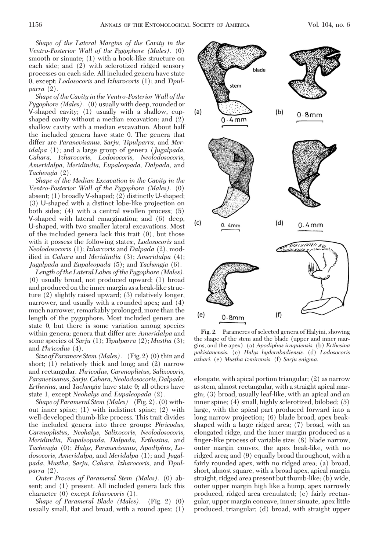*Shape of the Lateral Margins of the Cavity in the Ventro-Posterior Wall of the Pygophore (Males).* (0) smooth or sinuate; (1) with a hook-like structure on each side; and (2) with sclerotized ridged sensory processes on each side. All included genera have state 0, except: *Lodosocoris* and *Izharocoris* (1); and *Tipulparra* (2).

*Shape of the Cavity in the Ventro-Posterior Wall of the Pygophore (Males).* (0) usually with deep, rounded or V-shaped cavity; (1) usually with a shallow, cupshaped cavity without a median excavation; and (2) shallow cavity with a median excavation. About half the included genera have state 0. The genera that differ are *Paranevisanus, Sarju, Tipulparra,* and *Meridalpa* (1); and a large group of genera (*Jugalpada, Cahara, Izharocoris, Lodosocoris, Neolodosocoris, Ameridalpa, Meridindia, Eupaleopada, Dalpada,* and *Tachengia* (2).

*Shape of the Median Excavation in the Cavity in the Ventro-Posterior Wall of the Pygophore (Males).* (0) absent; (1) broadly V-shaped; (2) distinctly U-shaped; (3) U-shaped with a distinct lobe-like projection on both sides; (4) with a central swollen process; (5) V-shaped with lateral emargination; and (6) deep, U-shaped, with two smaller lateral excavations. Most of the included genera lack this trait (0), but those with it possess the following states:, *Lodosocoris* and *Neolodosocoris* (1); *Izharcoris* and *Dalpada* (2), modified in *Cahara* and *Meridindia* (3); *Ameridalpa* (4); *Jugalpada* and *Eupaleopada* (5); and *Tachengia* (6).

*Length of the Lateral Lobes of the Pygophore (Males).* (0) usually broad, not produced upward; (1) broad and produced on the inner margin as a beak-like structure (2) slightly raised upward; (3) relatively longer, narrower, and usually with a rounded apex; and (4) much narrower, remarkably prolonged, more than the length of the pygophore. Most included genera are state 0, but there is some variation among species within genera; genera that differ are: *Ameridalpa* and some species of *Sarju* (1); *Tipulparra* (2); *Mustha* (3); and *Phricodus* (4).

*Size of Paramere Stem (Males).* (Fig. 2) (0) thin and short; (1) relatively thick and long; and (2) narrow and rectangular. *Phricodus, Carenoplistus, Salixocoris, Paranevisanus, Sarju, Cahara, Neolodosocoris, Dalpada, Erthesina,* and *Tachengia* have state 0; all others have state 1, except *Neohalys* and *Eupaleopada* (2).

*Shape of Parameral Stem (Males)* (Fig. 2). (0) without inner spine; (1) with indistinct spine; (2) with well-developed thumb-like process. This trait divides the included genera into three groups: *Phricodus, Carenoplistus, Neohalys, Salixocoris, Neolodosocoris, Meridindia, Eupaleopada, Dalpada, Erthesina,* and *Tachengia* (0); *Halys, Paranevisanus, Apodiphus, Lodosocoris, Ameridalpa,* and *Meridalpa* (1); and *Jugalpada, Mustha, Sarju, Cahara, Izharocoris,* and *Tipulparra* (2).

*Outer Process of Parameral Stem (Males).* (0) absent; and (1) present. All included genera lack this character (0) except *Izharocoris* (1).

*Shape of Parameral Blade (Males).* (Fig. 2) (0) usually small, ßat and broad, with a round apex; (1)



**Fig. 2.** Parameres of selected genera of Halyini, showing the shape of the stem and the blade (upper and inner margins, and the apex). (a) *Apodiphus iraquiensis.* (b) *Erthesina pakistanensis.* (c) *Halys hyderabadiensis.* (d) *Lodosocoris azhari.* (e) *Mustha izmirensis.* (f) *Sarju enigma.*

elongate, with apical portion triangular; (2) as narrow as stem, almost rectangular, with a straight apical margin; (3) broad, usually leaf-like, with an apical and an inner spine; (4) small, highly sclerotized, bilobed; (5) large, with the apical part produced forward into a long narrow projection; (6) blade broad, apex beakshaped with a large ridged area; (7) broad, with an elongated ridge, and the inner margin produced as a finger-like process of variable size; (8) blade narrow, outer margin convex, the apex beak-like, with no ridged area; and (9) equally broad throughout, with a fairly rounded apex, with no ridged area; (a) broad, short, almost square, with a broad apex, apical margin straight, ridged area present but thumb-like; (b) wide, outer upper margin high like a hump, apex narrowly produced, ridged area crenulated; (c) fairly rectangular, upper margin concave, inner sinuate, apex little produced, triangular; (d) broad, with straight upper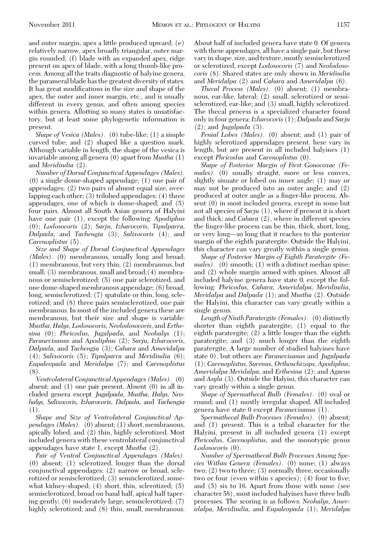and outer margin, apex a little produced upward; (e) relatively narrow, apex broadly triangular, outer margin rounded; (f) blade with an expanded apex, ridge present on apex of blade, with a long thumb-like process. Among all the traits diagnostic of halyine genera, the parameral blade has the greatest diversity of states. It has great modifications in the size and shape of the apex, the outer and inner margin, etc., and is usually different in every genus, and often among species within genera. Allotting so many states is unsatisfactory, but at least some phylogenetic information is present.

*Shape of Vesica (Males).* (0) tube-like; (1) a simple curved tube; and (2) shaped like a question mark. Although variable in length, the shape of the vesica is invariable among all genera (0) apart from *Mustha* (1) and *Meridindia* (2).

*Number of Dorsal Conjunctival Appendages (Males).* (0) a single dome-shaped appendage; (1) one pair of appendages; (2) two pairs of almost equal size, overlapping each other; (3) trilobed appendages; (4) three appendages, one of which is dome-shaped; and (5) four pairs. Almost all South Asian genera of Halyini have one pair (1), except the following: *Apodiphus* (0); *Lodosocoris* (2); *Sarju, Izharocoris, Tipulparra, Dalpada,* and *Tachengia* (3); *Salixocoris* (4); and *Carenoplistus* (5).

*Size and Shape of Dorsal Conjunctival Appendages (Males).* (0) membranous, usually long and broad; (1) membranous, but very thin; (2) membranous, but small; (3) membranous, small and broad; (4) membranous or semisclerotized; (5) one pair sclerotized, and one dome-shaped membranous appendage; (6) broad, long, semisclerotized; (7) spatulate or thin, long, sclerotized; and (8) three pairs semisclerotized, one pair membranous. In most of the included genera these are membranous, but their size and shape is variable: *Mustha, Halys, Lodosocoris, Neolodosocoris,* and *Erthesina* (0); *Phricodus, Jugalpada,* and *Neohalys* (1); *Paranevisanus* and *Apodiphus* (2); *Sarju, Izharocoris, Dalpada,* and *Tachengia* (3); *Cahara* and *Ameridalpa* (4); *Salixocoris* (5); *Tipulparra* and *Meridindia* (6); *Eupaleopada* and *Meridalpa* (7); and *Carenoplistus* (8).

*Ventrolateral Conjunctival Appendages (Males).* (0) absent; and (1) one pair present. Absent (0) in all included genera except *Jugalpada, Mustha, Halys, Neohalys, Salixocoris, Izharocoris, Dalpada,* and *Tachengia* (1).

*Shape and Size of Ventrolateral Conjunctival Appendages (Males).* (0) absent; (1) short, membranous, apically lobed; and (2) thin, highly sclerotized. Most included genera with these ventrolateral conjunctival appendages have state 1, except *Mustha* (2).

*Pair of Ventral Conjunctival Appendages (Males).* (0) absent; (1) sclerotized, longer than the dorsal conjunctival appendages; (2) narrow or broad, sclerotized or semisclerotized; (3) semisclerotized, somewhat kidney-shaped; (4) short, thin, sclerotized; (5) semisclerotized, broad on basal half, apical half tapering gently; (6) moderately large, semisclerotized; (7) highly sclerotized; and  $(8)$  thin, small, membranous.

About half of included genera have state 0. Of genera with these appendages, all have a single pair, but these vary in shape, size, and texture, mostly semisclerotized or sclerotized, except *Lodosocoris* (7) and *Neolodosocoris* (8). Shared states are only shown in *Meridindia* and *Meridalpa* (2) and *Cahara* and *Ameridalpa* (6).

*Thecal Process (Males).* (0) absent; (1) membranous, ear-like, lateral; (2) small, sclerotized or semisclerotized, ear-like; and (3) small, highly sclerotized. The thecal process is a specialized character found only in four genera:*Izharocoris* (1); *Dalpada* and *Sarju* (2); and *Jugalpada* (3).

*Penial Lobes (Males).* (0) absent; and (1) pair of highly sclerotized appendages present. hese vary in length, but are present in all included halyines (1) except *Phricodus* and *Carenoplistus* (0).

*Shape of Posterior Margin of First Gonocoxae (Females).* (0) usually straight, more or less convex, slightly sinuate or lobed on inner angle; (1) may or may not be produced into an outer angle; and (2) produced at outer angle as a finger-like process. Absent (0) in most included genera, except in some but not all species of *Sarju* (1), where if present it is short and thick; and *Cahara* (2), where in different species the finger-like process can be thin, thick, short, long, or very long—so long that it reaches to the posterior margin of the eighth paratergite. Outside the Halyini, this character can vary greatly within a single genus.

*Shape of Posterior Margin of Eighth Paratergite (Females).* (0) smooth; (1) with a distinct median spine; and (2) whole margin armed with spines. Almost all included halyine genera have state 0, except the following: *Phricodus, Cahara, Ameridalpa, Meridindia, Meridalpa* and *Dalpada* (1); and *Mustha* (2). Outside the Halyini, this character can vary greatly within a single genus.

*Length of Ninth Paratergite (Females).* (0) distinctly shorter than eighth paratergite; (1) equal to the eighth paratergite; (2) a little longer than the eighth paratergite; and (3) much longer than the eighth paratergite. A large number of studied halyines have state 0), but others are *Paranevisanus* and *Jugalpada* (1); *Carenoplistus, Surenus, Orthoschizops, Apodiphus, Ameridalpa Meridalpa,* and *Erthesina* (2); and *Agaeus* and *Asyla* (3). Outside the Halyini, this character can vary greatly within a single genus.

*Shape of Spermathecal Bulb (Females).* (0) oval or round; and (1) mostly irregular shaped. All included genera have state 0 except *Paranevisanus* (1).

*Spermathecal Bulb Processes (Females).* (0) absent; and (1) present. This is a tribal character for the Halyini, present in all included genera (1) except *Phricodus, Carenoplistus,* and the monotypic genus *Lodosocoris* (0).

*Number of Spermathecal Bulb Processes Among Species Within Genera (Females).* (0) none; (1) always two; (2) two to three; (3) normally three, occasionally two or four (even within s apecies):  $(4)$  four to five: and (5) six to 16. Apart from those with none (see character 58), most included halyines have three bulb processes. The scoring is as follows: *Neohalys, Ameridalpa, Meridindia,* and *Eupaleopada* (1); *Meridalpa*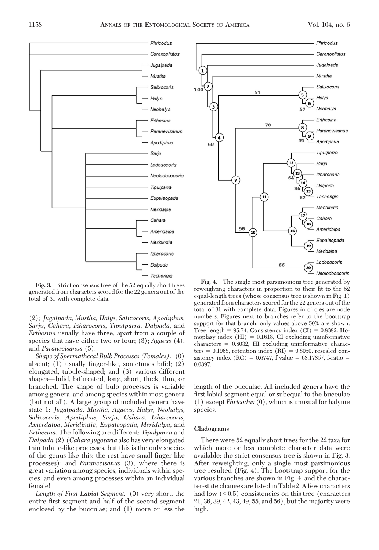

**Fig. 3.** Strict consensus tree of the 52 equally short trees generated from characters scored for the 22 genera out of the total of 31 with complete data.

(2); *Jugalpada, Mustha, Halys, Salixocoris, Apodiphus, Sarju, Cahara, Izharocoris, Tipulparra, Dalpada,* and *Erthesina* usually have three, apart from a couple of species that have either two or four; (3); *Agaeus* (4); and *Paranevisanus* (5).

*Shape of Spermathecal Bulb Processes (Females).* (0) absent; (1) usually finger-like, sometimes bifid; (2) elongated, tubule-shaped; and (3) various different shapes—bifid, bifurcated, long, short, thick, thin, or branched. The shape of bulb processes is variable among genera, and among species within most genera (but not all). A large group of included genera have state 1: *Jugalpada, Mustha, Agaeus, Halys, Neohalys, Salixocoris, Apodiphus, Sarju, Cahara, Izharocoris, Amerdalpa, Meridindia, Eupaleopada, Meridalpa,* and *Erthesina.* The following are different: *Tipulparra* and *Dalpada* (2) (*Cahara jugotaria* also has very elongated thin tubule-like processes, but this is the only species of the genus like this: the rest have small finger-like processes); and *Paranevisanus* (3), where there is great variation among species, individuals within species, and even among processes within an individual female!

*Length of First Labial Segment.* (0) very short, the entire first segment and half of the second segment enclosed by the bucculae; and (1) more or less the



**Fig. 4.** The single most parsimonious tree generated by reweighting characters in proportion to their fit to the 52 equal-length trees (whose consensus tree is shown in Fig. 1) generated from characters scored for the 22 genera out of the total of 31 with complete data. Figures in circles are node numbers. Figures next to branches refer to the bootstrap support for that branch: only values above 50% are shown. Tree length  $= 95.74$ , Consistency index  $(CI) = 0.8382$ , Homoplasy index  $(HI) = 0.1618$ , CI excluding uninformative characters - 0.8032, HI excluding uninformative charac- $\text{ters} = 0.1968$ , retention index  $\text{(RI)} = 0.8050$ , rescaled consistency index  $(RC) = 0.6747$ , f value = 68.17857, f-ratio = 0.0897.

length of the bucculae. All included genera have the first labial segment equal or subequal to the bucculae (1) except *Phricodus* (0), which is unusual for halyine species.

### **Cladograms**

There were 52 equally short trees for the 22 taxa for which more or less complete character data were available: the strict consensus tree is shown in Fig. 3. After reweighting, only a single most parsimonious tree resulted (Fig. 4). The bootstrap support for the various branches are shown in Fig. 4, and the character-state changes arelistedin Table 2. A few characters had low  $(<0.5)$  consistencies on this tree (characters) 21, 36, 39, 42, 43, 49, 55, and 56), but the majority were high.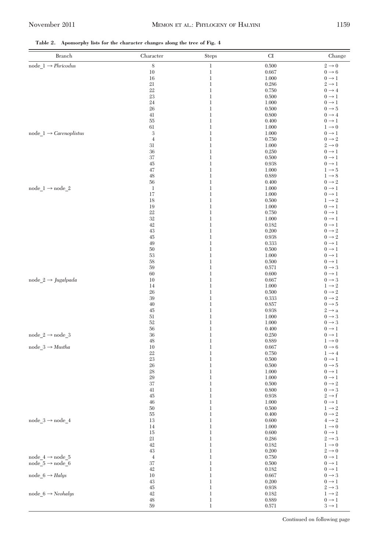**Table 2. Apomorphy lists for the character changes along the tree of Fig. 4**

| <b>Branch</b>                                 | Character        | Steps                        | ${\rm CI}$     | Change                                 |
|-----------------------------------------------|------------------|------------------------------|----------------|----------------------------------------|
| $\text{node\_1} \rightarrow \text{Phricodus}$ | $\,$ 8 $\,$      | $\,1\,$                      | 0.500          | $2 \rightarrow 0$                      |
|                                               | 10               | $\,1$                        | 0.667          | $0 \rightarrow 6$                      |
|                                               | 16               | $\,1\,$                      | 1.000          | $0 \rightarrow 1$                      |
|                                               | 21               | $\mathbf{1}$                 | 0.286          | $2 \rightarrow 1$                      |
|                                               | 22<br>23         | $\mathbf{1}$<br>$\mathbf{1}$ | 0.750<br>0.500 | $0 \rightarrow 4$<br>$0 \rightarrow 1$ |
|                                               | 24               | $\mathbf{1}$                 | 1.000          | $0 \rightarrow 1$                      |
|                                               | 26               | $\mathbf{1}$                 | 0.500          | $0 \rightarrow 5$                      |
|                                               | 41               | $\mathbf{1}$                 | 0.800          | $0 \rightarrow 4$                      |
|                                               | 55               | $\mathbf{1}$                 | 0.400          | $0 \rightarrow 1$                      |
|                                               | 61               | $\mathbf{1}$                 | 1.000          | $1 \rightarrow 0$                      |
| node $1 \rightarrow \text{Carenoplistus}$     | $\,3$            | $\mathbf{1}$                 | 1.000          | $0 \rightarrow 1$                      |
|                                               | $\,4\,$          | $\mathbf{1}$                 | 0.750          | $0 \rightarrow 2$                      |
|                                               | 31<br>36         | $\mathbf{1}$<br>$\mathbf{1}$ | 1.000<br>0.250 | $2 \rightarrow 0$<br>$0 \rightarrow 1$ |
|                                               | 37               | $\mathbf{1}$                 | 0.500          | $0 \rightarrow 1$                      |
|                                               | 45               | $\mathbf{1}$                 | 0.938          | $0 \rightarrow 1$                      |
|                                               | 47               | $\mathbf{1}$                 | 1.000          | $1 \rightarrow 5$                      |
|                                               | 48               | $\mathbf{1}$                 | 0.889          | $1 \rightarrow 8$                      |
|                                               | 56               | $\mathbf{1}$                 | 0.400          | $0 \rightarrow 2$                      |
| $node_1 \rightarrow node_2$                   | $\mathbf{1}$     | $\mathbf{1}$                 | 1.000          | $0 \rightarrow 1$                      |
|                                               | 17               | $\mathbf{1}$                 | 1.000          | $0 \rightarrow 1$                      |
|                                               | 18<br>19         | $\mathbf{1}$<br>$\mathbf{1}$ | 0.500<br>1.000 | $1 \rightarrow 2$<br>$0 \rightarrow 1$ |
|                                               | $22\,$           | $\mathbf{1}$                 | 0.750          | $0 \rightarrow 1$                      |
|                                               | 32               | $\mathbf{1}$                 | 1.000          | $0 \rightarrow 1$                      |
|                                               | 42               | $\mathbf{1}$                 | 0.182          | $0 \rightarrow 1$                      |
|                                               | 43               | $\mathbf{1}$                 | 0.200          | $0 \rightarrow 2$                      |
|                                               | 45               | $\mathbf{1}$                 | 0.938          | $0 \rightarrow 2$                      |
|                                               | 49               | $\mathbf{1}$                 | 0.333          | $0 \rightarrow 1$                      |
|                                               | $50\,$           | $\mathbf{1}$                 | 0.500          | $0 \rightarrow 1$                      |
|                                               | 53<br>58         | $\mathbf{1}$<br>$\mathbf{1}$ | 1.000<br>0.500 | $0 \rightarrow 1$<br>$0 \rightarrow 1$ |
|                                               | 59               | $\mathbf{1}$                 | 0.571          | $0 \rightarrow 3$                      |
|                                               | 60               | $\mathbf{1}$                 | 0.600          | $0 \rightarrow 1$                      |
| node $2 \rightarrow$ Jugalpada                | 10               | $\mathbf{1}$                 | 0.667          | $0 \rightarrow 3$                      |
|                                               | 14               | $\mathbf{1}$                 | 1.000          | $1 \rightarrow 2$                      |
|                                               | 26               | $\mathbf{1}$                 | 0.500          | $0 \rightarrow 2$                      |
|                                               | 39               | $\mathbf{1}$                 | 0.333          | $0 \rightarrow 2$                      |
|                                               | $40\,$           | $\mathbf{1}$<br>$\mathbf{1}$ | 0.857          | $0 \rightarrow 5$                      |
|                                               | 45<br>51         | $\mathbf{1}$                 | 0.938<br>1.000 | $2 \rightarrow a$<br>$0 \rightarrow 3$ |
|                                               | $52\,$           | $\mathbf{1}$                 | 1.000          | $0 \rightarrow 3$                      |
|                                               | 56               | $\mathbf{1}$                 | 0.400          | $0 \rightarrow 1$                      |
| $node_2 \rightarrow node_3$                   | 36               | $\mathbf{1}$                 | 0.250          | $0 \rightarrow 1$                      |
|                                               | 48               | $\mathbf{1}$                 | 0.889          | $1 \rightarrow 0$                      |
| $node_3 \rightarrow \mathit{Mustha}$          | 10               | $\mathbf{1}$                 | 0.667          | $0 \rightarrow 6$                      |
|                                               | 22               | $\mathbf{1}$                 | 0.750          | $1 \rightarrow 4$                      |
|                                               | 23<br>26         | $\mathbf{1}$<br>$\mathbf{1}$ | 0.500<br>0.500 | $0 \rightarrow 1$<br>$0 \rightarrow 5$ |
|                                               | 28               | $\mathbf{1}$                 | 1.000          | $0 \rightarrow 1$                      |
|                                               | 29               | $\mathbf{1}$                 | 1.000          | $0 \rightarrow 1$                      |
|                                               | 37               | $\mathbf{1}$                 | 0.500          | $0 \rightarrow 2$                      |
|                                               | 41               | $\mathbf{1}$                 | 0.800          | $0 \rightarrow 3$                      |
|                                               | 45               | $\mathbf{1}$                 | 0.938          | $2 \rightarrow f$                      |
|                                               | 46               | $\mathbf{1}$                 | 1.000          | $0 \rightarrow 1$                      |
|                                               | $50\,$<br>$55\,$ | $\,1\,$<br>$\mathbf{1}$      | 0.500<br>0.400 | $1 \rightarrow 2$<br>$0 \rightarrow 2$ |
| node $3 \rightarrow$ node 4                   | 13               | $\mathbf{1}$                 | 0.600          | $4 \rightarrow 2$                      |
|                                               | 14               | $\,1\,$                      | 1.000          | $1 \rightarrow 0$                      |
|                                               | 15               | $\mathbf{1}$                 | 0.600          | $0 \rightarrow 1$                      |
|                                               | 21               | $\mathbf{1}$                 | 0.286          | $2 \rightarrow 3$                      |
|                                               | 42               | $\,1\,$                      | 0.182          | $1 \rightarrow 0$                      |
|                                               | 43               | $\mathbf{1}$                 | 0.200          | $2 \rightarrow 0$                      |
| node $4 \rightarrow$ node 5                   | $\overline{4}$   | $\mathbf{1}$                 | 0.750          | $0 \rightarrow 1$                      |
| node $5 \rightarrow$ node 6                   | 37<br>42         | $\,1\,$<br>$\mathbf{1}$      | 0.500<br>0.182 | $0 \rightarrow 1$<br>$0 \rightarrow 1$ |
| node $6 \rightarrow$ Halys                    | 10               | $\mathbf{1}$                 | 0.667          | $0 \rightarrow 3$                      |
|                                               | 43               | $\,1\,$                      | 0.200          | $0 \rightarrow 1$                      |
|                                               | 45               | $\mathbf{1}$                 | 0.938          | $2 \rightarrow 3$                      |
| $node_6 \rightarrow Neohalys$                 | 42               | $\mathbf{1}$                 | 0.182          | $1 \rightarrow 2$                      |
|                                               | $48\,$           | $\,1\,$                      | 0.889          | $0 \rightarrow 1$                      |
|                                               | $59\,$           | $\mathbf{1}$                 | 0.571          | $3 \rightarrow 1$                      |

Continued on following page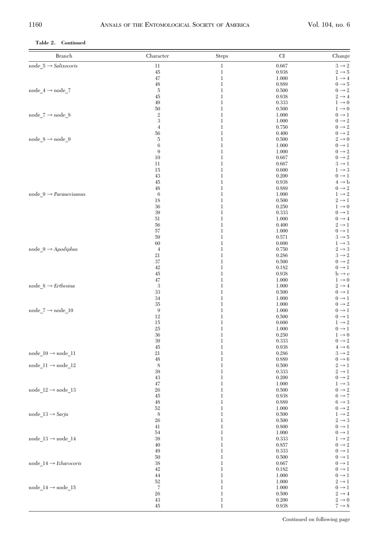# **Table 2. Continued**

| $node_5 \rightarrow Salixocoris$<br>$11\,$<br>$3\to 2$<br>$\,1$<br>0.667<br>45<br>$\mathbf 1$<br>0.938<br>$2 \rightarrow 5$<br>47<br>$\,1$<br>$1 \rightarrow 4$<br>1.000<br>$0 \rightarrow 5$<br>$48\,$<br>$\!1$<br>0.889<br>$\bf 5$<br>$0 \rightarrow 2$<br>node $4 \rightarrow$ node 7<br>$\mathbf 1$<br>0.500<br>$2 \rightarrow 4$<br>45<br>1<br>0.938<br>49<br>$\mathbf 1$<br>$1 \rightarrow 0$<br>0.333<br>50<br>$\mathbf 1$<br>0.500<br>$1 \rightarrow 0$<br>$\,2$<br>node_7 $\rightarrow$ node_8<br>$0 \rightarrow 1$<br>1<br>1.000<br>$\,3$<br>$\mathbf 1$<br>$0 \rightarrow 2$<br>1.000<br>$\,4$<br>$0 \rightarrow 2$<br>$\mathbf 1$<br>0.750<br>$0 \rightarrow 2$<br>56<br>1<br>0.400<br>node $8 \rightarrow$ node $9$<br>$\bf 5$<br>$\mathbf 1$<br>$2 \rightarrow 0$<br>0.500<br>$\,6\,$<br>$\mathbf 1$<br>1.000<br>$0 \rightarrow 1$<br>$\boldsymbol{9}$<br>$0 \rightarrow 2$<br>1<br>1.000<br>$0 \rightarrow 2$<br>10<br>$\mathbf 1$<br>0.667<br>11<br>$\mathbf 1$<br>0.667<br>$3 \rightarrow 1$<br>$1 \rightarrow 3$<br>15<br>1<br>0.600<br>43<br>$\mathbf 1$<br>$0 \rightarrow 1$<br>0.200<br>$\mathbf 1$<br>$4 \rightarrow b$<br>45<br>0.938<br>$0 \rightarrow 2$<br>48<br>1<br>0.889<br>$1\to 2$<br>node $9 \rightarrow Paramevisanus$<br>$\,6$<br>$\mathbf 1$<br>1.000<br>18<br>$\mathbf 1$<br>0.500<br>$2 \rightarrow 1$<br>36<br>$1 \rightarrow 0$<br>1<br>0.250<br>39<br>$\mathbf 1$<br>$0 \rightarrow 1$<br>0.333<br>51<br>$\mathbf 1$<br>$0 \rightarrow 4$<br>1.000<br>56<br>$2 \rightarrow 1$<br>1<br>0.400<br>57<br>$\mathbf 1$<br>$0 \rightarrow 1$<br>1.000<br>59<br>$\mathbf 1$<br>$3 \rightarrow 5$<br>0.571<br>$1 \rightarrow 3$<br>60<br>1<br>0.600<br>$2 \rightarrow 3$<br>$node_9 \rightarrow Apodiphus$<br>$\overline{4}$<br>$\mathbf 1$<br>0.750<br>$3 \rightarrow 2$<br>21<br>$\mathbf 1$<br>0.286<br>$0 \rightarrow 2$<br>37<br>1<br>0.500<br>42<br>$\mathbf 1$<br>$0 \rightarrow 1$<br>0.182<br>$\mathbf 1$<br>45<br>0.938<br>$\mathrm{b} \rightarrow \mathrm{c}$<br>47<br>$1 \rightarrow 0$<br>1<br>1.000<br>$node_8 \rightarrow Erthesina$<br>3<br>$\mathbf 1$<br>$2 \rightarrow 4$<br>1.000<br>33<br>$\mathbf 1$<br>$0 \rightarrow 1$<br>0.500<br>34<br>$0 \rightarrow 1$<br>1<br>1.000<br>$35\,$<br>$\mathbf 1$<br>$0 \rightarrow 2$<br>1.000<br>$\boldsymbol{9}$<br>$node_7 \rightarrow node_10$<br>$\mathbf 1$<br>1.000<br>$0 \rightarrow 1$<br>12<br>1<br>0.500<br>$0 \rightarrow 1$<br>$15\,$<br>$\mathbf 1$<br>$1 \rightarrow 2$<br>0.600<br>25<br>$\mathbf 1$<br>$0 \rightarrow 1$<br>1.000<br>36<br>$1 \rightarrow 0$<br>1<br>0.250<br>$39\,$<br>$\mathbf 1$<br>$0 \rightarrow 2$<br>0.333<br>$\mathbf 1$<br>45<br>0.938<br>$4 \rightarrow 6$<br>$node_10 \rightarrow node_11$<br>21<br>$3 \rightarrow 2$<br>1<br>0.286<br>48<br>$\mathbf 1$<br>$0 \rightarrow 6$<br>0.889<br>node $11 \rightarrow$ node $12$<br>8<br>$\mathbf 1$<br>0.500<br>$2 \rightarrow 1$<br>$39\,$<br>$2 \rightarrow 1$<br>1<br>0.333<br>$0 \rightarrow 2$<br>43<br>$\!1$<br>0.200<br>$\mathbf 1$<br>$1 \rightarrow 3$<br>47<br>1.000<br>node $12 \rightarrow$ node 13<br>26<br>$\mathbf 1$<br>$0 \rightarrow 2$<br>0.500<br>$45\,$<br>$\,1$<br>0.938<br>$6 \rightarrow 7$<br>$48\,$<br>$\mathbf 1$<br>$6 \rightarrow 3$<br>0.889<br>$0\to 2$<br>$52\,$<br>$\,1$<br>1.000<br>$\,$ 8 $\,$<br>$\,1$<br>0.500<br>$1\to 2$<br>$node_13 \rightarrow Sariu$<br>26<br>$2 \rightarrow 3$<br>1<br>0.500<br>41<br>$0 \rightarrow 1$<br>1<br>0.800<br>54<br>$\mathbf 1$<br>$0 \rightarrow 1$<br>1.000<br>node_13 $\rightarrow$ node_14<br>39<br>$1 \rightarrow 2$<br>1<br>0.333<br>40<br>$0 \rightarrow 2$<br>1<br>0.857<br>49<br>$\,1$<br>0.333<br>$0 \rightarrow 1$<br>50<br>$0 \rightarrow 1$<br>1<br>0.500<br>node $14 \rightarrow Izharocoris$<br>$38\,$<br>$0 \rightarrow 1$<br>1<br>0.667<br>42<br>$\,1$<br>$0 \rightarrow 1$<br>0.182<br>44<br>$0 \rightarrow 1$<br>1<br>1.000<br>$2 \rightarrow 1$<br>52<br>1<br>1.000<br>$\scriptstyle{7}$<br>node_14 $\rightarrow$ node_15<br>$\,1$<br>$0 \rightarrow 1$<br>1.000<br>$26\,$<br>$\mathbf 1$<br>$2\to 4$<br>0.500<br>$43\,$<br>$2 \rightarrow 0$<br>$\mathbf{1}$<br>0.200<br>$45\,$<br>$\mathbf 1$<br>0.938<br>$7 \rightarrow 8$ | Branch | Character | <b>Steps</b> | $\mathop{\rm CI}\nolimits$ | Change |
|--------------------------------------------------------------------------------------------------------------------------------------------------------------------------------------------------------------------------------------------------------------------------------------------------------------------------------------------------------------------------------------------------------------------------------------------------------------------------------------------------------------------------------------------------------------------------------------------------------------------------------------------------------------------------------------------------------------------------------------------------------------------------------------------------------------------------------------------------------------------------------------------------------------------------------------------------------------------------------------------------------------------------------------------------------------------------------------------------------------------------------------------------------------------------------------------------------------------------------------------------------------------------------------------------------------------------------------------------------------------------------------------------------------------------------------------------------------------------------------------------------------------------------------------------------------------------------------------------------------------------------------------------------------------------------------------------------------------------------------------------------------------------------------------------------------------------------------------------------------------------------------------------------------------------------------------------------------------------------------------------------------------------------------------------------------------------------------------------------------------------------------------------------------------------------------------------------------------------------------------------------------------------------------------------------------------------------------------------------------------------------------------------------------------------------------------------------------------------------------------------------------------------------------------------------------------------------------------------------------------------------------------------------------------------------------------------------------------------------------------------------------------------------------------------------------------------------------------------------------------------------------------------------------------------------------------------------------------------------------------------------------------------------------------------------------------------------------------------------------------------------------------------------------------------------------------------------------------------------------------------------------------------------------------------------------------------------------------------------------------------------------------------------------------------------------------------------------------------------------------------------------------------------------------------------------------------------------------------------------------------------------------------------------------------------------------------------------------------------------------------------------------------------------------------------------------------------------------------------------------------------------------------------------------------------------------------------------------------------------------------------------------------------------------------------------------------------------------------------------------------------------------------------------------------------------------------------|--------|-----------|--------------|----------------------------|--------|
|                                                                                                                                                                                                                                                                                                                                                                                                                                                                                                                                                                                                                                                                                                                                                                                                                                                                                                                                                                                                                                                                                                                                                                                                                                                                                                                                                                                                                                                                                                                                                                                                                                                                                                                                                                                                                                                                                                                                                                                                                                                                                                                                                                                                                                                                                                                                                                                                                                                                                                                                                                                                                                                                                                                                                                                                                                                                                                                                                                                                                                                                                                                                                                                                                                                                                                                                                                                                                                                                                                                                                                                                                                                                                                                                                                                                                                                                                                                                                                                                                                                                                                                                                                                                        |        |           |              |                            |        |
|                                                                                                                                                                                                                                                                                                                                                                                                                                                                                                                                                                                                                                                                                                                                                                                                                                                                                                                                                                                                                                                                                                                                                                                                                                                                                                                                                                                                                                                                                                                                                                                                                                                                                                                                                                                                                                                                                                                                                                                                                                                                                                                                                                                                                                                                                                                                                                                                                                                                                                                                                                                                                                                                                                                                                                                                                                                                                                                                                                                                                                                                                                                                                                                                                                                                                                                                                                                                                                                                                                                                                                                                                                                                                                                                                                                                                                                                                                                                                                                                                                                                                                                                                                                                        |        |           |              |                            |        |
|                                                                                                                                                                                                                                                                                                                                                                                                                                                                                                                                                                                                                                                                                                                                                                                                                                                                                                                                                                                                                                                                                                                                                                                                                                                                                                                                                                                                                                                                                                                                                                                                                                                                                                                                                                                                                                                                                                                                                                                                                                                                                                                                                                                                                                                                                                                                                                                                                                                                                                                                                                                                                                                                                                                                                                                                                                                                                                                                                                                                                                                                                                                                                                                                                                                                                                                                                                                                                                                                                                                                                                                                                                                                                                                                                                                                                                                                                                                                                                                                                                                                                                                                                                                                        |        |           |              |                            |        |
|                                                                                                                                                                                                                                                                                                                                                                                                                                                                                                                                                                                                                                                                                                                                                                                                                                                                                                                                                                                                                                                                                                                                                                                                                                                                                                                                                                                                                                                                                                                                                                                                                                                                                                                                                                                                                                                                                                                                                                                                                                                                                                                                                                                                                                                                                                                                                                                                                                                                                                                                                                                                                                                                                                                                                                                                                                                                                                                                                                                                                                                                                                                                                                                                                                                                                                                                                                                                                                                                                                                                                                                                                                                                                                                                                                                                                                                                                                                                                                                                                                                                                                                                                                                                        |        |           |              |                            |        |
|                                                                                                                                                                                                                                                                                                                                                                                                                                                                                                                                                                                                                                                                                                                                                                                                                                                                                                                                                                                                                                                                                                                                                                                                                                                                                                                                                                                                                                                                                                                                                                                                                                                                                                                                                                                                                                                                                                                                                                                                                                                                                                                                                                                                                                                                                                                                                                                                                                                                                                                                                                                                                                                                                                                                                                                                                                                                                                                                                                                                                                                                                                                                                                                                                                                                                                                                                                                                                                                                                                                                                                                                                                                                                                                                                                                                                                                                                                                                                                                                                                                                                                                                                                                                        |        |           |              |                            |        |
|                                                                                                                                                                                                                                                                                                                                                                                                                                                                                                                                                                                                                                                                                                                                                                                                                                                                                                                                                                                                                                                                                                                                                                                                                                                                                                                                                                                                                                                                                                                                                                                                                                                                                                                                                                                                                                                                                                                                                                                                                                                                                                                                                                                                                                                                                                                                                                                                                                                                                                                                                                                                                                                                                                                                                                                                                                                                                                                                                                                                                                                                                                                                                                                                                                                                                                                                                                                                                                                                                                                                                                                                                                                                                                                                                                                                                                                                                                                                                                                                                                                                                                                                                                                                        |        |           |              |                            |        |
|                                                                                                                                                                                                                                                                                                                                                                                                                                                                                                                                                                                                                                                                                                                                                                                                                                                                                                                                                                                                                                                                                                                                                                                                                                                                                                                                                                                                                                                                                                                                                                                                                                                                                                                                                                                                                                                                                                                                                                                                                                                                                                                                                                                                                                                                                                                                                                                                                                                                                                                                                                                                                                                                                                                                                                                                                                                                                                                                                                                                                                                                                                                                                                                                                                                                                                                                                                                                                                                                                                                                                                                                                                                                                                                                                                                                                                                                                                                                                                                                                                                                                                                                                                                                        |        |           |              |                            |        |
|                                                                                                                                                                                                                                                                                                                                                                                                                                                                                                                                                                                                                                                                                                                                                                                                                                                                                                                                                                                                                                                                                                                                                                                                                                                                                                                                                                                                                                                                                                                                                                                                                                                                                                                                                                                                                                                                                                                                                                                                                                                                                                                                                                                                                                                                                                                                                                                                                                                                                                                                                                                                                                                                                                                                                                                                                                                                                                                                                                                                                                                                                                                                                                                                                                                                                                                                                                                                                                                                                                                                                                                                                                                                                                                                                                                                                                                                                                                                                                                                                                                                                                                                                                                                        |        |           |              |                            |        |
|                                                                                                                                                                                                                                                                                                                                                                                                                                                                                                                                                                                                                                                                                                                                                                                                                                                                                                                                                                                                                                                                                                                                                                                                                                                                                                                                                                                                                                                                                                                                                                                                                                                                                                                                                                                                                                                                                                                                                                                                                                                                                                                                                                                                                                                                                                                                                                                                                                                                                                                                                                                                                                                                                                                                                                                                                                                                                                                                                                                                                                                                                                                                                                                                                                                                                                                                                                                                                                                                                                                                                                                                                                                                                                                                                                                                                                                                                                                                                                                                                                                                                                                                                                                                        |        |           |              |                            |        |
|                                                                                                                                                                                                                                                                                                                                                                                                                                                                                                                                                                                                                                                                                                                                                                                                                                                                                                                                                                                                                                                                                                                                                                                                                                                                                                                                                                                                                                                                                                                                                                                                                                                                                                                                                                                                                                                                                                                                                                                                                                                                                                                                                                                                                                                                                                                                                                                                                                                                                                                                                                                                                                                                                                                                                                                                                                                                                                                                                                                                                                                                                                                                                                                                                                                                                                                                                                                                                                                                                                                                                                                                                                                                                                                                                                                                                                                                                                                                                                                                                                                                                                                                                                                                        |        |           |              |                            |        |
|                                                                                                                                                                                                                                                                                                                                                                                                                                                                                                                                                                                                                                                                                                                                                                                                                                                                                                                                                                                                                                                                                                                                                                                                                                                                                                                                                                                                                                                                                                                                                                                                                                                                                                                                                                                                                                                                                                                                                                                                                                                                                                                                                                                                                                                                                                                                                                                                                                                                                                                                                                                                                                                                                                                                                                                                                                                                                                                                                                                                                                                                                                                                                                                                                                                                                                                                                                                                                                                                                                                                                                                                                                                                                                                                                                                                                                                                                                                                                                                                                                                                                                                                                                                                        |        |           |              |                            |        |
|                                                                                                                                                                                                                                                                                                                                                                                                                                                                                                                                                                                                                                                                                                                                                                                                                                                                                                                                                                                                                                                                                                                                                                                                                                                                                                                                                                                                                                                                                                                                                                                                                                                                                                                                                                                                                                                                                                                                                                                                                                                                                                                                                                                                                                                                                                                                                                                                                                                                                                                                                                                                                                                                                                                                                                                                                                                                                                                                                                                                                                                                                                                                                                                                                                                                                                                                                                                                                                                                                                                                                                                                                                                                                                                                                                                                                                                                                                                                                                                                                                                                                                                                                                                                        |        |           |              |                            |        |
|                                                                                                                                                                                                                                                                                                                                                                                                                                                                                                                                                                                                                                                                                                                                                                                                                                                                                                                                                                                                                                                                                                                                                                                                                                                                                                                                                                                                                                                                                                                                                                                                                                                                                                                                                                                                                                                                                                                                                                                                                                                                                                                                                                                                                                                                                                                                                                                                                                                                                                                                                                                                                                                                                                                                                                                                                                                                                                                                                                                                                                                                                                                                                                                                                                                                                                                                                                                                                                                                                                                                                                                                                                                                                                                                                                                                                                                                                                                                                                                                                                                                                                                                                                                                        |        |           |              |                            |        |
|                                                                                                                                                                                                                                                                                                                                                                                                                                                                                                                                                                                                                                                                                                                                                                                                                                                                                                                                                                                                                                                                                                                                                                                                                                                                                                                                                                                                                                                                                                                                                                                                                                                                                                                                                                                                                                                                                                                                                                                                                                                                                                                                                                                                                                                                                                                                                                                                                                                                                                                                                                                                                                                                                                                                                                                                                                                                                                                                                                                                                                                                                                                                                                                                                                                                                                                                                                                                                                                                                                                                                                                                                                                                                                                                                                                                                                                                                                                                                                                                                                                                                                                                                                                                        |        |           |              |                            |        |
|                                                                                                                                                                                                                                                                                                                                                                                                                                                                                                                                                                                                                                                                                                                                                                                                                                                                                                                                                                                                                                                                                                                                                                                                                                                                                                                                                                                                                                                                                                                                                                                                                                                                                                                                                                                                                                                                                                                                                                                                                                                                                                                                                                                                                                                                                                                                                                                                                                                                                                                                                                                                                                                                                                                                                                                                                                                                                                                                                                                                                                                                                                                                                                                                                                                                                                                                                                                                                                                                                                                                                                                                                                                                                                                                                                                                                                                                                                                                                                                                                                                                                                                                                                                                        |        |           |              |                            |        |
|                                                                                                                                                                                                                                                                                                                                                                                                                                                                                                                                                                                                                                                                                                                                                                                                                                                                                                                                                                                                                                                                                                                                                                                                                                                                                                                                                                                                                                                                                                                                                                                                                                                                                                                                                                                                                                                                                                                                                                                                                                                                                                                                                                                                                                                                                                                                                                                                                                                                                                                                                                                                                                                                                                                                                                                                                                                                                                                                                                                                                                                                                                                                                                                                                                                                                                                                                                                                                                                                                                                                                                                                                                                                                                                                                                                                                                                                                                                                                                                                                                                                                                                                                                                                        |        |           |              |                            |        |
|                                                                                                                                                                                                                                                                                                                                                                                                                                                                                                                                                                                                                                                                                                                                                                                                                                                                                                                                                                                                                                                                                                                                                                                                                                                                                                                                                                                                                                                                                                                                                                                                                                                                                                                                                                                                                                                                                                                                                                                                                                                                                                                                                                                                                                                                                                                                                                                                                                                                                                                                                                                                                                                                                                                                                                                                                                                                                                                                                                                                                                                                                                                                                                                                                                                                                                                                                                                                                                                                                                                                                                                                                                                                                                                                                                                                                                                                                                                                                                                                                                                                                                                                                                                                        |        |           |              |                            |        |
|                                                                                                                                                                                                                                                                                                                                                                                                                                                                                                                                                                                                                                                                                                                                                                                                                                                                                                                                                                                                                                                                                                                                                                                                                                                                                                                                                                                                                                                                                                                                                                                                                                                                                                                                                                                                                                                                                                                                                                                                                                                                                                                                                                                                                                                                                                                                                                                                                                                                                                                                                                                                                                                                                                                                                                                                                                                                                                                                                                                                                                                                                                                                                                                                                                                                                                                                                                                                                                                                                                                                                                                                                                                                                                                                                                                                                                                                                                                                                                                                                                                                                                                                                                                                        |        |           |              |                            |        |
|                                                                                                                                                                                                                                                                                                                                                                                                                                                                                                                                                                                                                                                                                                                                                                                                                                                                                                                                                                                                                                                                                                                                                                                                                                                                                                                                                                                                                                                                                                                                                                                                                                                                                                                                                                                                                                                                                                                                                                                                                                                                                                                                                                                                                                                                                                                                                                                                                                                                                                                                                                                                                                                                                                                                                                                                                                                                                                                                                                                                                                                                                                                                                                                                                                                                                                                                                                                                                                                                                                                                                                                                                                                                                                                                                                                                                                                                                                                                                                                                                                                                                                                                                                                                        |        |           |              |                            |        |
|                                                                                                                                                                                                                                                                                                                                                                                                                                                                                                                                                                                                                                                                                                                                                                                                                                                                                                                                                                                                                                                                                                                                                                                                                                                                                                                                                                                                                                                                                                                                                                                                                                                                                                                                                                                                                                                                                                                                                                                                                                                                                                                                                                                                                                                                                                                                                                                                                                                                                                                                                                                                                                                                                                                                                                                                                                                                                                                                                                                                                                                                                                                                                                                                                                                                                                                                                                                                                                                                                                                                                                                                                                                                                                                                                                                                                                                                                                                                                                                                                                                                                                                                                                                                        |        |           |              |                            |        |
|                                                                                                                                                                                                                                                                                                                                                                                                                                                                                                                                                                                                                                                                                                                                                                                                                                                                                                                                                                                                                                                                                                                                                                                                                                                                                                                                                                                                                                                                                                                                                                                                                                                                                                                                                                                                                                                                                                                                                                                                                                                                                                                                                                                                                                                                                                                                                                                                                                                                                                                                                                                                                                                                                                                                                                                                                                                                                                                                                                                                                                                                                                                                                                                                                                                                                                                                                                                                                                                                                                                                                                                                                                                                                                                                                                                                                                                                                                                                                                                                                                                                                                                                                                                                        |        |           |              |                            |        |
|                                                                                                                                                                                                                                                                                                                                                                                                                                                                                                                                                                                                                                                                                                                                                                                                                                                                                                                                                                                                                                                                                                                                                                                                                                                                                                                                                                                                                                                                                                                                                                                                                                                                                                                                                                                                                                                                                                                                                                                                                                                                                                                                                                                                                                                                                                                                                                                                                                                                                                                                                                                                                                                                                                                                                                                                                                                                                                                                                                                                                                                                                                                                                                                                                                                                                                                                                                                                                                                                                                                                                                                                                                                                                                                                                                                                                                                                                                                                                                                                                                                                                                                                                                                                        |        |           |              |                            |        |
|                                                                                                                                                                                                                                                                                                                                                                                                                                                                                                                                                                                                                                                                                                                                                                                                                                                                                                                                                                                                                                                                                                                                                                                                                                                                                                                                                                                                                                                                                                                                                                                                                                                                                                                                                                                                                                                                                                                                                                                                                                                                                                                                                                                                                                                                                                                                                                                                                                                                                                                                                                                                                                                                                                                                                                                                                                                                                                                                                                                                                                                                                                                                                                                                                                                                                                                                                                                                                                                                                                                                                                                                                                                                                                                                                                                                                                                                                                                                                                                                                                                                                                                                                                                                        |        |           |              |                            |        |
|                                                                                                                                                                                                                                                                                                                                                                                                                                                                                                                                                                                                                                                                                                                                                                                                                                                                                                                                                                                                                                                                                                                                                                                                                                                                                                                                                                                                                                                                                                                                                                                                                                                                                                                                                                                                                                                                                                                                                                                                                                                                                                                                                                                                                                                                                                                                                                                                                                                                                                                                                                                                                                                                                                                                                                                                                                                                                                                                                                                                                                                                                                                                                                                                                                                                                                                                                                                                                                                                                                                                                                                                                                                                                                                                                                                                                                                                                                                                                                                                                                                                                                                                                                                                        |        |           |              |                            |        |
|                                                                                                                                                                                                                                                                                                                                                                                                                                                                                                                                                                                                                                                                                                                                                                                                                                                                                                                                                                                                                                                                                                                                                                                                                                                                                                                                                                                                                                                                                                                                                                                                                                                                                                                                                                                                                                                                                                                                                                                                                                                                                                                                                                                                                                                                                                                                                                                                                                                                                                                                                                                                                                                                                                                                                                                                                                                                                                                                                                                                                                                                                                                                                                                                                                                                                                                                                                                                                                                                                                                                                                                                                                                                                                                                                                                                                                                                                                                                                                                                                                                                                                                                                                                                        |        |           |              |                            |        |
|                                                                                                                                                                                                                                                                                                                                                                                                                                                                                                                                                                                                                                                                                                                                                                                                                                                                                                                                                                                                                                                                                                                                                                                                                                                                                                                                                                                                                                                                                                                                                                                                                                                                                                                                                                                                                                                                                                                                                                                                                                                                                                                                                                                                                                                                                                                                                                                                                                                                                                                                                                                                                                                                                                                                                                                                                                                                                                                                                                                                                                                                                                                                                                                                                                                                                                                                                                                                                                                                                                                                                                                                                                                                                                                                                                                                                                                                                                                                                                                                                                                                                                                                                                                                        |        |           |              |                            |        |
|                                                                                                                                                                                                                                                                                                                                                                                                                                                                                                                                                                                                                                                                                                                                                                                                                                                                                                                                                                                                                                                                                                                                                                                                                                                                                                                                                                                                                                                                                                                                                                                                                                                                                                                                                                                                                                                                                                                                                                                                                                                                                                                                                                                                                                                                                                                                                                                                                                                                                                                                                                                                                                                                                                                                                                                                                                                                                                                                                                                                                                                                                                                                                                                                                                                                                                                                                                                                                                                                                                                                                                                                                                                                                                                                                                                                                                                                                                                                                                                                                                                                                                                                                                                                        |        |           |              |                            |        |
|                                                                                                                                                                                                                                                                                                                                                                                                                                                                                                                                                                                                                                                                                                                                                                                                                                                                                                                                                                                                                                                                                                                                                                                                                                                                                                                                                                                                                                                                                                                                                                                                                                                                                                                                                                                                                                                                                                                                                                                                                                                                                                                                                                                                                                                                                                                                                                                                                                                                                                                                                                                                                                                                                                                                                                                                                                                                                                                                                                                                                                                                                                                                                                                                                                                                                                                                                                                                                                                                                                                                                                                                                                                                                                                                                                                                                                                                                                                                                                                                                                                                                                                                                                                                        |        |           |              |                            |        |
|                                                                                                                                                                                                                                                                                                                                                                                                                                                                                                                                                                                                                                                                                                                                                                                                                                                                                                                                                                                                                                                                                                                                                                                                                                                                                                                                                                                                                                                                                                                                                                                                                                                                                                                                                                                                                                                                                                                                                                                                                                                                                                                                                                                                                                                                                                                                                                                                                                                                                                                                                                                                                                                                                                                                                                                                                                                                                                                                                                                                                                                                                                                                                                                                                                                                                                                                                                                                                                                                                                                                                                                                                                                                                                                                                                                                                                                                                                                                                                                                                                                                                                                                                                                                        |        |           |              |                            |        |
|                                                                                                                                                                                                                                                                                                                                                                                                                                                                                                                                                                                                                                                                                                                                                                                                                                                                                                                                                                                                                                                                                                                                                                                                                                                                                                                                                                                                                                                                                                                                                                                                                                                                                                                                                                                                                                                                                                                                                                                                                                                                                                                                                                                                                                                                                                                                                                                                                                                                                                                                                                                                                                                                                                                                                                                                                                                                                                                                                                                                                                                                                                                                                                                                                                                                                                                                                                                                                                                                                                                                                                                                                                                                                                                                                                                                                                                                                                                                                                                                                                                                                                                                                                                                        |        |           |              |                            |        |
|                                                                                                                                                                                                                                                                                                                                                                                                                                                                                                                                                                                                                                                                                                                                                                                                                                                                                                                                                                                                                                                                                                                                                                                                                                                                                                                                                                                                                                                                                                                                                                                                                                                                                                                                                                                                                                                                                                                                                                                                                                                                                                                                                                                                                                                                                                                                                                                                                                                                                                                                                                                                                                                                                                                                                                                                                                                                                                                                                                                                                                                                                                                                                                                                                                                                                                                                                                                                                                                                                                                                                                                                                                                                                                                                                                                                                                                                                                                                                                                                                                                                                                                                                                                                        |        |           |              |                            |        |
|                                                                                                                                                                                                                                                                                                                                                                                                                                                                                                                                                                                                                                                                                                                                                                                                                                                                                                                                                                                                                                                                                                                                                                                                                                                                                                                                                                                                                                                                                                                                                                                                                                                                                                                                                                                                                                                                                                                                                                                                                                                                                                                                                                                                                                                                                                                                                                                                                                                                                                                                                                                                                                                                                                                                                                                                                                                                                                                                                                                                                                                                                                                                                                                                                                                                                                                                                                                                                                                                                                                                                                                                                                                                                                                                                                                                                                                                                                                                                                                                                                                                                                                                                                                                        |        |           |              |                            |        |
|                                                                                                                                                                                                                                                                                                                                                                                                                                                                                                                                                                                                                                                                                                                                                                                                                                                                                                                                                                                                                                                                                                                                                                                                                                                                                                                                                                                                                                                                                                                                                                                                                                                                                                                                                                                                                                                                                                                                                                                                                                                                                                                                                                                                                                                                                                                                                                                                                                                                                                                                                                                                                                                                                                                                                                                                                                                                                                                                                                                                                                                                                                                                                                                                                                                                                                                                                                                                                                                                                                                                                                                                                                                                                                                                                                                                                                                                                                                                                                                                                                                                                                                                                                                                        |        |           |              |                            |        |
|                                                                                                                                                                                                                                                                                                                                                                                                                                                                                                                                                                                                                                                                                                                                                                                                                                                                                                                                                                                                                                                                                                                                                                                                                                                                                                                                                                                                                                                                                                                                                                                                                                                                                                                                                                                                                                                                                                                                                                                                                                                                                                                                                                                                                                                                                                                                                                                                                                                                                                                                                                                                                                                                                                                                                                                                                                                                                                                                                                                                                                                                                                                                                                                                                                                                                                                                                                                                                                                                                                                                                                                                                                                                                                                                                                                                                                                                                                                                                                                                                                                                                                                                                                                                        |        |           |              |                            |        |
|                                                                                                                                                                                                                                                                                                                                                                                                                                                                                                                                                                                                                                                                                                                                                                                                                                                                                                                                                                                                                                                                                                                                                                                                                                                                                                                                                                                                                                                                                                                                                                                                                                                                                                                                                                                                                                                                                                                                                                                                                                                                                                                                                                                                                                                                                                                                                                                                                                                                                                                                                                                                                                                                                                                                                                                                                                                                                                                                                                                                                                                                                                                                                                                                                                                                                                                                                                                                                                                                                                                                                                                                                                                                                                                                                                                                                                                                                                                                                                                                                                                                                                                                                                                                        |        |           |              |                            |        |
|                                                                                                                                                                                                                                                                                                                                                                                                                                                                                                                                                                                                                                                                                                                                                                                                                                                                                                                                                                                                                                                                                                                                                                                                                                                                                                                                                                                                                                                                                                                                                                                                                                                                                                                                                                                                                                                                                                                                                                                                                                                                                                                                                                                                                                                                                                                                                                                                                                                                                                                                                                                                                                                                                                                                                                                                                                                                                                                                                                                                                                                                                                                                                                                                                                                                                                                                                                                                                                                                                                                                                                                                                                                                                                                                                                                                                                                                                                                                                                                                                                                                                                                                                                                                        |        |           |              |                            |        |
|                                                                                                                                                                                                                                                                                                                                                                                                                                                                                                                                                                                                                                                                                                                                                                                                                                                                                                                                                                                                                                                                                                                                                                                                                                                                                                                                                                                                                                                                                                                                                                                                                                                                                                                                                                                                                                                                                                                                                                                                                                                                                                                                                                                                                                                                                                                                                                                                                                                                                                                                                                                                                                                                                                                                                                                                                                                                                                                                                                                                                                                                                                                                                                                                                                                                                                                                                                                                                                                                                                                                                                                                                                                                                                                                                                                                                                                                                                                                                                                                                                                                                                                                                                                                        |        |           |              |                            |        |
|                                                                                                                                                                                                                                                                                                                                                                                                                                                                                                                                                                                                                                                                                                                                                                                                                                                                                                                                                                                                                                                                                                                                                                                                                                                                                                                                                                                                                                                                                                                                                                                                                                                                                                                                                                                                                                                                                                                                                                                                                                                                                                                                                                                                                                                                                                                                                                                                                                                                                                                                                                                                                                                                                                                                                                                                                                                                                                                                                                                                                                                                                                                                                                                                                                                                                                                                                                                                                                                                                                                                                                                                                                                                                                                                                                                                                                                                                                                                                                                                                                                                                                                                                                                                        |        |           |              |                            |        |
|                                                                                                                                                                                                                                                                                                                                                                                                                                                                                                                                                                                                                                                                                                                                                                                                                                                                                                                                                                                                                                                                                                                                                                                                                                                                                                                                                                                                                                                                                                                                                                                                                                                                                                                                                                                                                                                                                                                                                                                                                                                                                                                                                                                                                                                                                                                                                                                                                                                                                                                                                                                                                                                                                                                                                                                                                                                                                                                                                                                                                                                                                                                                                                                                                                                                                                                                                                                                                                                                                                                                                                                                                                                                                                                                                                                                                                                                                                                                                                                                                                                                                                                                                                                                        |        |           |              |                            |        |
|                                                                                                                                                                                                                                                                                                                                                                                                                                                                                                                                                                                                                                                                                                                                                                                                                                                                                                                                                                                                                                                                                                                                                                                                                                                                                                                                                                                                                                                                                                                                                                                                                                                                                                                                                                                                                                                                                                                                                                                                                                                                                                                                                                                                                                                                                                                                                                                                                                                                                                                                                                                                                                                                                                                                                                                                                                                                                                                                                                                                                                                                                                                                                                                                                                                                                                                                                                                                                                                                                                                                                                                                                                                                                                                                                                                                                                                                                                                                                                                                                                                                                                                                                                                                        |        |           |              |                            |        |
|                                                                                                                                                                                                                                                                                                                                                                                                                                                                                                                                                                                                                                                                                                                                                                                                                                                                                                                                                                                                                                                                                                                                                                                                                                                                                                                                                                                                                                                                                                                                                                                                                                                                                                                                                                                                                                                                                                                                                                                                                                                                                                                                                                                                                                                                                                                                                                                                                                                                                                                                                                                                                                                                                                                                                                                                                                                                                                                                                                                                                                                                                                                                                                                                                                                                                                                                                                                                                                                                                                                                                                                                                                                                                                                                                                                                                                                                                                                                                                                                                                                                                                                                                                                                        |        |           |              |                            |        |
|                                                                                                                                                                                                                                                                                                                                                                                                                                                                                                                                                                                                                                                                                                                                                                                                                                                                                                                                                                                                                                                                                                                                                                                                                                                                                                                                                                                                                                                                                                                                                                                                                                                                                                                                                                                                                                                                                                                                                                                                                                                                                                                                                                                                                                                                                                                                                                                                                                                                                                                                                                                                                                                                                                                                                                                                                                                                                                                                                                                                                                                                                                                                                                                                                                                                                                                                                                                                                                                                                                                                                                                                                                                                                                                                                                                                                                                                                                                                                                                                                                                                                                                                                                                                        |        |           |              |                            |        |
|                                                                                                                                                                                                                                                                                                                                                                                                                                                                                                                                                                                                                                                                                                                                                                                                                                                                                                                                                                                                                                                                                                                                                                                                                                                                                                                                                                                                                                                                                                                                                                                                                                                                                                                                                                                                                                                                                                                                                                                                                                                                                                                                                                                                                                                                                                                                                                                                                                                                                                                                                                                                                                                                                                                                                                                                                                                                                                                                                                                                                                                                                                                                                                                                                                                                                                                                                                                                                                                                                                                                                                                                                                                                                                                                                                                                                                                                                                                                                                                                                                                                                                                                                                                                        |        |           |              |                            |        |
|                                                                                                                                                                                                                                                                                                                                                                                                                                                                                                                                                                                                                                                                                                                                                                                                                                                                                                                                                                                                                                                                                                                                                                                                                                                                                                                                                                                                                                                                                                                                                                                                                                                                                                                                                                                                                                                                                                                                                                                                                                                                                                                                                                                                                                                                                                                                                                                                                                                                                                                                                                                                                                                                                                                                                                                                                                                                                                                                                                                                                                                                                                                                                                                                                                                                                                                                                                                                                                                                                                                                                                                                                                                                                                                                                                                                                                                                                                                                                                                                                                                                                                                                                                                                        |        |           |              |                            |        |
|                                                                                                                                                                                                                                                                                                                                                                                                                                                                                                                                                                                                                                                                                                                                                                                                                                                                                                                                                                                                                                                                                                                                                                                                                                                                                                                                                                                                                                                                                                                                                                                                                                                                                                                                                                                                                                                                                                                                                                                                                                                                                                                                                                                                                                                                                                                                                                                                                                                                                                                                                                                                                                                                                                                                                                                                                                                                                                                                                                                                                                                                                                                                                                                                                                                                                                                                                                                                                                                                                                                                                                                                                                                                                                                                                                                                                                                                                                                                                                                                                                                                                                                                                                                                        |        |           |              |                            |        |
|                                                                                                                                                                                                                                                                                                                                                                                                                                                                                                                                                                                                                                                                                                                                                                                                                                                                                                                                                                                                                                                                                                                                                                                                                                                                                                                                                                                                                                                                                                                                                                                                                                                                                                                                                                                                                                                                                                                                                                                                                                                                                                                                                                                                                                                                                                                                                                                                                                                                                                                                                                                                                                                                                                                                                                                                                                                                                                                                                                                                                                                                                                                                                                                                                                                                                                                                                                                                                                                                                                                                                                                                                                                                                                                                                                                                                                                                                                                                                                                                                                                                                                                                                                                                        |        |           |              |                            |        |
|                                                                                                                                                                                                                                                                                                                                                                                                                                                                                                                                                                                                                                                                                                                                                                                                                                                                                                                                                                                                                                                                                                                                                                                                                                                                                                                                                                                                                                                                                                                                                                                                                                                                                                                                                                                                                                                                                                                                                                                                                                                                                                                                                                                                                                                                                                                                                                                                                                                                                                                                                                                                                                                                                                                                                                                                                                                                                                                                                                                                                                                                                                                                                                                                                                                                                                                                                                                                                                                                                                                                                                                                                                                                                                                                                                                                                                                                                                                                                                                                                                                                                                                                                                                                        |        |           |              |                            |        |
|                                                                                                                                                                                                                                                                                                                                                                                                                                                                                                                                                                                                                                                                                                                                                                                                                                                                                                                                                                                                                                                                                                                                                                                                                                                                                                                                                                                                                                                                                                                                                                                                                                                                                                                                                                                                                                                                                                                                                                                                                                                                                                                                                                                                                                                                                                                                                                                                                                                                                                                                                                                                                                                                                                                                                                                                                                                                                                                                                                                                                                                                                                                                                                                                                                                                                                                                                                                                                                                                                                                                                                                                                                                                                                                                                                                                                                                                                                                                                                                                                                                                                                                                                                                                        |        |           |              |                            |        |
|                                                                                                                                                                                                                                                                                                                                                                                                                                                                                                                                                                                                                                                                                                                                                                                                                                                                                                                                                                                                                                                                                                                                                                                                                                                                                                                                                                                                                                                                                                                                                                                                                                                                                                                                                                                                                                                                                                                                                                                                                                                                                                                                                                                                                                                                                                                                                                                                                                                                                                                                                                                                                                                                                                                                                                                                                                                                                                                                                                                                                                                                                                                                                                                                                                                                                                                                                                                                                                                                                                                                                                                                                                                                                                                                                                                                                                                                                                                                                                                                                                                                                                                                                                                                        |        |           |              |                            |        |
|                                                                                                                                                                                                                                                                                                                                                                                                                                                                                                                                                                                                                                                                                                                                                                                                                                                                                                                                                                                                                                                                                                                                                                                                                                                                                                                                                                                                                                                                                                                                                                                                                                                                                                                                                                                                                                                                                                                                                                                                                                                                                                                                                                                                                                                                                                                                                                                                                                                                                                                                                                                                                                                                                                                                                                                                                                                                                                                                                                                                                                                                                                                                                                                                                                                                                                                                                                                                                                                                                                                                                                                                                                                                                                                                                                                                                                                                                                                                                                                                                                                                                                                                                                                                        |        |           |              |                            |        |
|                                                                                                                                                                                                                                                                                                                                                                                                                                                                                                                                                                                                                                                                                                                                                                                                                                                                                                                                                                                                                                                                                                                                                                                                                                                                                                                                                                                                                                                                                                                                                                                                                                                                                                                                                                                                                                                                                                                                                                                                                                                                                                                                                                                                                                                                                                                                                                                                                                                                                                                                                                                                                                                                                                                                                                                                                                                                                                                                                                                                                                                                                                                                                                                                                                                                                                                                                                                                                                                                                                                                                                                                                                                                                                                                                                                                                                                                                                                                                                                                                                                                                                                                                                                                        |        |           |              |                            |        |
|                                                                                                                                                                                                                                                                                                                                                                                                                                                                                                                                                                                                                                                                                                                                                                                                                                                                                                                                                                                                                                                                                                                                                                                                                                                                                                                                                                                                                                                                                                                                                                                                                                                                                                                                                                                                                                                                                                                                                                                                                                                                                                                                                                                                                                                                                                                                                                                                                                                                                                                                                                                                                                                                                                                                                                                                                                                                                                                                                                                                                                                                                                                                                                                                                                                                                                                                                                                                                                                                                                                                                                                                                                                                                                                                                                                                                                                                                                                                                                                                                                                                                                                                                                                                        |        |           |              |                            |        |
|                                                                                                                                                                                                                                                                                                                                                                                                                                                                                                                                                                                                                                                                                                                                                                                                                                                                                                                                                                                                                                                                                                                                                                                                                                                                                                                                                                                                                                                                                                                                                                                                                                                                                                                                                                                                                                                                                                                                                                                                                                                                                                                                                                                                                                                                                                                                                                                                                                                                                                                                                                                                                                                                                                                                                                                                                                                                                                                                                                                                                                                                                                                                                                                                                                                                                                                                                                                                                                                                                                                                                                                                                                                                                                                                                                                                                                                                                                                                                                                                                                                                                                                                                                                                        |        |           |              |                            |        |
|                                                                                                                                                                                                                                                                                                                                                                                                                                                                                                                                                                                                                                                                                                                                                                                                                                                                                                                                                                                                                                                                                                                                                                                                                                                                                                                                                                                                                                                                                                                                                                                                                                                                                                                                                                                                                                                                                                                                                                                                                                                                                                                                                                                                                                                                                                                                                                                                                                                                                                                                                                                                                                                                                                                                                                                                                                                                                                                                                                                                                                                                                                                                                                                                                                                                                                                                                                                                                                                                                                                                                                                                                                                                                                                                                                                                                                                                                                                                                                                                                                                                                                                                                                                                        |        |           |              |                            |        |
|                                                                                                                                                                                                                                                                                                                                                                                                                                                                                                                                                                                                                                                                                                                                                                                                                                                                                                                                                                                                                                                                                                                                                                                                                                                                                                                                                                                                                                                                                                                                                                                                                                                                                                                                                                                                                                                                                                                                                                                                                                                                                                                                                                                                                                                                                                                                                                                                                                                                                                                                                                                                                                                                                                                                                                                                                                                                                                                                                                                                                                                                                                                                                                                                                                                                                                                                                                                                                                                                                                                                                                                                                                                                                                                                                                                                                                                                                                                                                                                                                                                                                                                                                                                                        |        |           |              |                            |        |
|                                                                                                                                                                                                                                                                                                                                                                                                                                                                                                                                                                                                                                                                                                                                                                                                                                                                                                                                                                                                                                                                                                                                                                                                                                                                                                                                                                                                                                                                                                                                                                                                                                                                                                                                                                                                                                                                                                                                                                                                                                                                                                                                                                                                                                                                                                                                                                                                                                                                                                                                                                                                                                                                                                                                                                                                                                                                                                                                                                                                                                                                                                                                                                                                                                                                                                                                                                                                                                                                                                                                                                                                                                                                                                                                                                                                                                                                                                                                                                                                                                                                                                                                                                                                        |        |           |              |                            |        |
|                                                                                                                                                                                                                                                                                                                                                                                                                                                                                                                                                                                                                                                                                                                                                                                                                                                                                                                                                                                                                                                                                                                                                                                                                                                                                                                                                                                                                                                                                                                                                                                                                                                                                                                                                                                                                                                                                                                                                                                                                                                                                                                                                                                                                                                                                                                                                                                                                                                                                                                                                                                                                                                                                                                                                                                                                                                                                                                                                                                                                                                                                                                                                                                                                                                                                                                                                                                                                                                                                                                                                                                                                                                                                                                                                                                                                                                                                                                                                                                                                                                                                                                                                                                                        |        |           |              |                            |        |
|                                                                                                                                                                                                                                                                                                                                                                                                                                                                                                                                                                                                                                                                                                                                                                                                                                                                                                                                                                                                                                                                                                                                                                                                                                                                                                                                                                                                                                                                                                                                                                                                                                                                                                                                                                                                                                                                                                                                                                                                                                                                                                                                                                                                                                                                                                                                                                                                                                                                                                                                                                                                                                                                                                                                                                                                                                                                                                                                                                                                                                                                                                                                                                                                                                                                                                                                                                                                                                                                                                                                                                                                                                                                                                                                                                                                                                                                                                                                                                                                                                                                                                                                                                                                        |        |           |              |                            |        |
|                                                                                                                                                                                                                                                                                                                                                                                                                                                                                                                                                                                                                                                                                                                                                                                                                                                                                                                                                                                                                                                                                                                                                                                                                                                                                                                                                                                                                                                                                                                                                                                                                                                                                                                                                                                                                                                                                                                                                                                                                                                                                                                                                                                                                                                                                                                                                                                                                                                                                                                                                                                                                                                                                                                                                                                                                                                                                                                                                                                                                                                                                                                                                                                                                                                                                                                                                                                                                                                                                                                                                                                                                                                                                                                                                                                                                                                                                                                                                                                                                                                                                                                                                                                                        |        |           |              |                            |        |
|                                                                                                                                                                                                                                                                                                                                                                                                                                                                                                                                                                                                                                                                                                                                                                                                                                                                                                                                                                                                                                                                                                                                                                                                                                                                                                                                                                                                                                                                                                                                                                                                                                                                                                                                                                                                                                                                                                                                                                                                                                                                                                                                                                                                                                                                                                                                                                                                                                                                                                                                                                                                                                                                                                                                                                                                                                                                                                                                                                                                                                                                                                                                                                                                                                                                                                                                                                                                                                                                                                                                                                                                                                                                                                                                                                                                                                                                                                                                                                                                                                                                                                                                                                                                        |        |           |              |                            |        |
|                                                                                                                                                                                                                                                                                                                                                                                                                                                                                                                                                                                                                                                                                                                                                                                                                                                                                                                                                                                                                                                                                                                                                                                                                                                                                                                                                                                                                                                                                                                                                                                                                                                                                                                                                                                                                                                                                                                                                                                                                                                                                                                                                                                                                                                                                                                                                                                                                                                                                                                                                                                                                                                                                                                                                                                                                                                                                                                                                                                                                                                                                                                                                                                                                                                                                                                                                                                                                                                                                                                                                                                                                                                                                                                                                                                                                                                                                                                                                                                                                                                                                                                                                                                                        |        |           |              |                            |        |
|                                                                                                                                                                                                                                                                                                                                                                                                                                                                                                                                                                                                                                                                                                                                                                                                                                                                                                                                                                                                                                                                                                                                                                                                                                                                                                                                                                                                                                                                                                                                                                                                                                                                                                                                                                                                                                                                                                                                                                                                                                                                                                                                                                                                                                                                                                                                                                                                                                                                                                                                                                                                                                                                                                                                                                                                                                                                                                                                                                                                                                                                                                                                                                                                                                                                                                                                                                                                                                                                                                                                                                                                                                                                                                                                                                                                                                                                                                                                                                                                                                                                                                                                                                                                        |        |           |              |                            |        |
|                                                                                                                                                                                                                                                                                                                                                                                                                                                                                                                                                                                                                                                                                                                                                                                                                                                                                                                                                                                                                                                                                                                                                                                                                                                                                                                                                                                                                                                                                                                                                                                                                                                                                                                                                                                                                                                                                                                                                                                                                                                                                                                                                                                                                                                                                                                                                                                                                                                                                                                                                                                                                                                                                                                                                                                                                                                                                                                                                                                                                                                                                                                                                                                                                                                                                                                                                                                                                                                                                                                                                                                                                                                                                                                                                                                                                                                                                                                                                                                                                                                                                                                                                                                                        |        |           |              |                            |        |

Continued on following page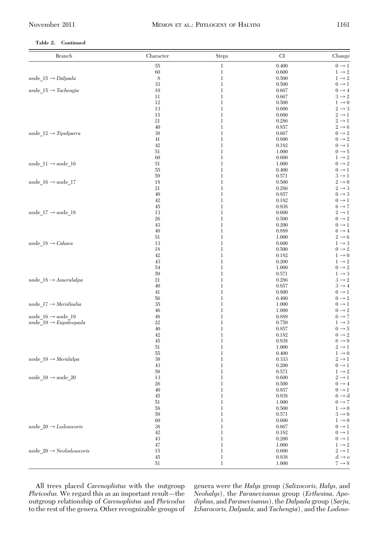# **Table 2. Continued**

| Branch                                   | Character   | <b>Steps</b>     | CI             | Change                                 |
|------------------------------------------|-------------|------------------|----------------|----------------------------------------|
|                                          | $55\,$      | $\mathbf 1$      | 0.400          | $0 \rightarrow 1$                      |
|                                          | 60          | 1                | 0.600          | $1 \rightarrow 2$                      |
| $node_15 \rightarrow Dalpada$            | $\,$ 8 $\,$ | $\mathbf 1$      | 0.500          | $1 \rightarrow 2$                      |
|                                          | 33          | $\mathbf 1$      | 0.500          | $0 \rightarrow 1$                      |
| node $15 \rightarrow Tachengia$          | 10          | 1                | 0.667          | $0 \rightarrow 4$                      |
|                                          | $11\,$      | $\mathbf 1$      | 0.667          | $3 \rightarrow 2$                      |
|                                          | 12<br>13    | $\mathbf 1$<br>1 | 0.500<br>0.600 | $1 \rightarrow 0$<br>$2 \rightarrow 3$ |
|                                          | 15          | $\mathbf 1$      | 0.600          | $2 \rightarrow 1$                      |
|                                          | 21          | $\mathbf 1$      | 0.286          | $2 \rightarrow 1$                      |
|                                          | 40          | 1                | 0.857          | $2 \rightarrow 6$                      |
| node $12 \rightarrow Tipulparra$         | 38          | $\mathbf 1$      | 0.667          | $0 \rightarrow 2$                      |
|                                          | 41          | $\mathbf 1$      | 0.800          | $0 \rightarrow 2$                      |
|                                          | 42          | 1                | 0.182          | $0 \rightarrow 1$                      |
|                                          | 51          | $\mathbf 1$      | 1.000          | $0 \rightarrow 5$                      |
|                                          | 60          | $\mathbf 1$      | 0.600          | $1 \rightarrow 2$                      |
| $node_11 \rightarrow node_16$            | 51          | 1                | 1.000          | $0 \rightarrow 2$                      |
|                                          | 55          | $\mathbf 1$      | 0.400          | $0 \rightarrow 1$                      |
| node_16 $\rightarrow$ node_17            | 59          | $\mathbf 1$<br>1 | 0.571          | $3 \rightarrow 1$<br>$2 \rightarrow 0$ |
|                                          | 18<br>21    | $\mathbf 1$      | 0.500<br>0.286 | $2 \rightarrow 3$                      |
|                                          | 40          | $\mathbf 1$      | 0.857          | $0 \rightarrow 3$                      |
|                                          | 42          | 1                | 0.182          | $0 \rightarrow 1$                      |
|                                          | 45          | $\mathbf 1$      | 0.938          | $6 \rightarrow 7$                      |
| node_17 $\rightarrow$ node_18            | 13          | $\mathbf 1$      | 0.600          | $2 \rightarrow 1$                      |
|                                          | 26          | 1                | 0.500          | $0 \rightarrow 2$                      |
|                                          | 43          | $\mathbf 1$      | 0.200          | $0 \rightarrow 1$                      |
|                                          | $48\,$      | $\mathbf 1$      | 0.889          | $6 \rightarrow 4$                      |
|                                          | 51          | 1                | 1.000          | $2 \rightarrow 6$                      |
| $node_18 \rightarrow \textit{Cahara}$    | 13          | $\mathbf 1$      | 0.600          | $1 \rightarrow 3$                      |
|                                          | 18          | $\mathbf 1$      | 0.500          | $0 \rightarrow 2$                      |
|                                          | 42<br>43    | 1<br>$\mathbf 1$ | 0.182          | $1 \rightarrow 0$<br>$1 \rightarrow 2$ |
|                                          | 54          | $\mathbf 1$      | 0.200<br>1.000 | $0 \rightarrow 2$                      |
|                                          | 59          | 1                | 0.571          | $1 \rightarrow 3$                      |
| node $18 \rightarrow$ Ameridalpa         | 21          | $\mathbf 1$      | 0.286          | $3 \rightarrow 2$                      |
|                                          | 40          | $\mathbf 1$      | 0.857          | $3 \rightarrow 4$                      |
|                                          | 41          | 1                | 0.800          | $0 \rightarrow 1$                      |
|                                          | 56          | $\mathbf 1$      | 0.400          | $0 \rightarrow 2$                      |
| node $17 \rightarrow Meridindia$         | $35\,$      | $\mathbf 1$      | 1.000          | $0 \rightarrow 1$                      |
|                                          | 46          | 1                | 1.000          | $0 \rightarrow 2$                      |
| node $16 \rightarrow$ node 19            | 48          | $\mathbf 1$      | 0.889          | $6 \rightarrow 7$                      |
| node $19 \rightarrow \text{Eupaleopada}$ | 22          | $\mathbf 1$      | 0.750          | $1 \rightarrow 3$                      |
|                                          | 40<br>42    | 1<br>$\mathbf 1$ | 0.857          | $0 \rightarrow 5$<br>$0 \rightarrow 2$ |
|                                          | 45          | $\mathbf 1$      | 0.182<br>0.938 | $6 \rightarrow 9$                      |
|                                          | 51          | 1                | 1.000          | $2 \rightarrow 1$                      |
|                                          | 55          | $\mathbf 1$      | 0.400          | $1 \rightarrow 0$                      |
| node $19 \rightarrow Meridalpa$          | 39          | $\mathbf 1$      | 0.333          | $2 \rightarrow 1$                      |
|                                          | 43          | 1                | 0.200          | $0 \rightarrow 1$                      |
|                                          | $59\,$      | 1                | 0.571          | $1 \rightarrow 2$                      |
| $node_10 \rightarrow node_20$            | 13          | $\mathbf 1$      | 0.600          | $2 \rightarrow 1$                      |
|                                          | 26          | $\mathbf 1$      | 0.500          | $0 \rightarrow 4$                      |
|                                          | 40          | $\mathbf 1$      | 0.857          | $0 \rightarrow 1$                      |
|                                          | $45\,$      | $\mathbf 1$      | 0.938          | $6 \rightarrow d$                      |
|                                          | 51          | 1                | 1.000          | $0 \rightarrow 7$                      |
|                                          | 58          | 1                | 0.500          | $1 \rightarrow 0$                      |
|                                          | 59          | 1                | 0.571          | $3 \rightarrow 0$                      |
| node $20 \rightarrow$ <i>Lodosocoris</i> | 60<br>38    | 1<br>1           | 0.600<br>0.667 | $1 \rightarrow 0$<br>$0 \rightarrow 1$ |
|                                          | 42          | 1                | 0.182          | $0 \rightarrow 1$                      |
|                                          | 43          | 1                | 0.200          | $0 \rightarrow 1$                      |
|                                          | 47          | 1                | 1.000          | $1 \rightarrow 2$                      |
| $node_20 \rightarrow Neolodosocoris$     | 15          | 1                | 0.600          | $2 \rightarrow 1$                      |
|                                          | $45\,$      | 1                | 0.938          | $d \rightarrow e$                      |
|                                          | 51          | $\mathbf{1}$     | 1.000          | $7 \rightarrow 8$                      |
|                                          |             |                  |                |                                        |

All trees placed *Carenoplistus* with the outgroup *Phricodus*. We regard this as an important result—the outgroup relationship of *Carenoplistus* and *Phricodus* to the rest of the genera. Other recognizable groups of genera were the *Halys* group (*Salixocoris, Halys,* and *Neohalys*), the *Paranevisanus* group (*Erthesina, Apodiphus,* and *Paranevisanus*), the *Dalpada* group (*Sarju, Izharocoris, Dalpada,* and *Tachengia*), and the *Lodoso-*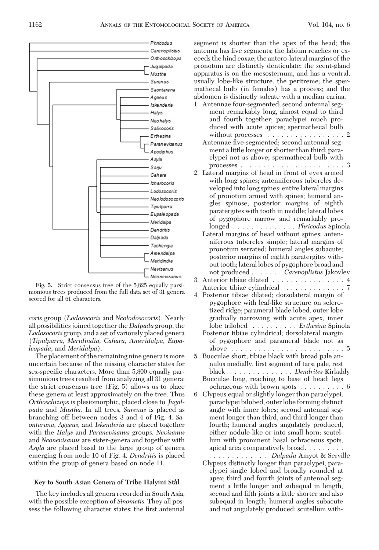

**Fig. 5.** Strict consensus tree of the 5,825 equally parsimonious trees produced from the full data set of 31 genera scored for all 61 characters.

*coris* group (*Lodosocoris* and *Neolodosocoris*). Nearly all possibilities joined together the *Dalpada* group, the *Lodosocoris* group, and a set of variously placed genera (*Tipulparra, Meridindia, Cahara, Ameridalpa, Eupaleopada,* and *Meridalpa*).

The placement of the remaining nine generais more uncertain because of the missing character states for sex-specific characters. More than 5,800 equally parsimonious trees resulted from analyzing all 31 genera: the strict consensus tree (Fig. 5) allows us to place these genera at least approximately on the tree. Thus *Orthoschizops* is plesiomorphic, placed close to *Jugalpada* and *Mustha.* In all trees, *Surenus* is placed as branching off between nodes 3 and 4 of Fig. 4. *Saontarana, Agaeus,* and *Iskenderia* are placed together with the *Halys* and *Paranevisanus* groups. *Nevisanus* and *Neonevisanus* are sister-genera and together with *Asyla* are placed basal to the large group of genera emerging from node 10 of Fig. 4. *Dendritis* is placed within the group of genera based on node 11.

## **Key to South Asian Genera of Tribe Halyini Stål**

The key includes all genera recorded in South Asia, with the possible exception of *Sinometis.* They all possess the following character states: the first antennal segment is shorter than the apex of the head; the antenna has five segments; the labium reaches or exceeds the hind coxae; the antero-lateral margins of the pronotum are distinctly denticulate; the scent-gland apparatus is on the mesosternum, and has a ventral, usually lobe-like structure, the peritreme; the spermathecal bulb (in females) has a process; and the abdomen is distinctly sulcate with a median carina.

- 1. Antennae four-segmented; second antennal segment remarkably long, almost equal to third and fourth together; paraclypei much produced with acute apices; spermathecal bulb without processes . . . . . . . . . . . . . . . . 2
	- Antennae five-segmented; second antennal segment a little longer or shorter than third; paraclypei not as above; spermathecal bulb with processes .......................3
- 2. Lateral margins of head in front of eyes armed with long spines; antenniferous tubercles developed into long spines; entire lateral margins of pronotum armed with spines; humeral angles spinose; posterior margins of eighth paratergites with tooth in middle; lateral lobes of pygophore narrow and remarkably prolonged .............. *Phricodus* Spinola
	- Lateral margins of head without spines; antenniferous tubercles simple; lateral margins of pronotum serrated; humeral angles subacute; posterior margins of eighth paratergites without tooth; lateral lobes of pygophore broad and not produced ....... *Carenoplistus* Jakovlev
- 3. Anterior tibiae dilated ................4 Anterior tibiae cylindrical .............
- 4. Posterior tibiae dilated; dorsolateral margin of pygophore with leaf-like structure on sclerotized ridge; parameral blade lobed, outer lobe gradually narrowing with acute apex, inner lobe trilobed .......... *Erthesina* Spinola Posterior tibiae cylindrical; dorsolateral margin

of pygophore and parameral blade not as above .........................5

- 5. Bucculae short; tibiae black with broad pale annulus medially, first segment of tarsi pale, rest black .............. *Dendrites* Kirkaldy Bucculae long, reaching to base of head; legs
- ochraceous with brown spots ..........6 6. Clypeus equal or slightly longer than paraclypei,
	- paraclypei bilobed, outer lobe forming distinct angle with inner lobes; second antennal segment longer than third, and third longer than fourth; humeral angles angulately produced, either nodule-like or into small horn; scutellum with prominent basal ochraceous spots, apical area comparatively broad.........

............. *Dalpada* Amyot & Serville Clypeus distinctly longer than paraclypei, paraclypei single lobed and broadly rounded at apex; third and fourth joints of antennal segment a little longer and subequal in length, second and fifth joints a little shorter and also subequal in length; humeral angles subacute and not angulately produced; scutellum with-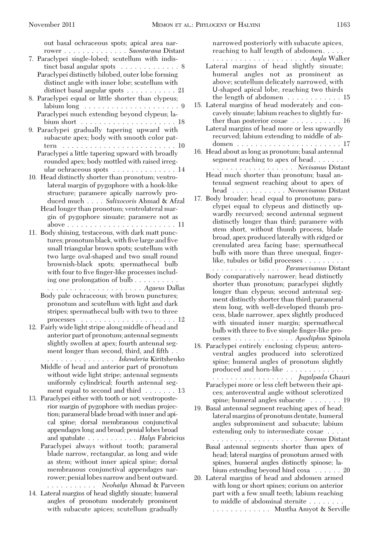out basal ochraceous spots; apical area narrower .............. *Saontarana* Distant 7. Paraclypei single-lobed; scutellum with indistinct basal angular spots . . . . . . . . . . . . 8 Paraclypei distinctly bilobed, outer lobe forming distinct angle with inner lobe; scutellum with distinct basal angular spots . . . . . . . . . . 21 8. Paraclypei equal or little shorter than clypeus; labium long .....................9 Paraclypei much extending beyond clypeus; labium short . . . . . . . . . . . . . . . . . . . . . 18 9. Paraclypei gradually tapering upward with subacute apex; body with smooth color pattern . . . . . . . . . . . . . . . . . . . . . . . . . 10 Paraclypei a little tapering upward with broadly rounded apex; body mottled with raised irregular ochraceous spots . . . . . . . . . . . . . . 14 10. Head distinctly shorter than pronotum; ventrolateral margin of pygophore with a hook-like structure; paramere apically narrowly produced much .... *Salixocoris* Ahmad & Afzal Head longer than pronotum; ventrolateral margin of pygophore sinuate; paramere not as above . . . . . . . . . . . . . . . . . . . . . . . . 11 11. Body shining, testaceous, with dark matt punctures; pronotum black, with five large and five small triangular brown spots; scutellum with two large oval-shaped and two small round brownish-black spots; spermathecal bulb with four to five finger-like processes including one prolongation of bulb . . . . . . . . . ..................... *Agaeus* Dallas Body pale ochraceous; with brown punctures; pronotum and scutellum with light and dark stripes; spermathecal bulb with two to three processes . . . . . . . . . . . . . . . . . . . . . 12 12. Fairly widelight stripe along middle of head and anterior part of pronotum; antennal segments slightly swollen at apex; fourth antennal segment longer than second, third, and fifth. ............... *Iskenderia* Kiritshenko Middle of head and anterior part of pronotum without wide light stripe; antennal segments uniformly cylindrical; fourth antennal segment equal to second and third . . . . . . . 13 13. Paraclypei either with tooth or not; ventroposterior margin of pygophore with median projection; parameral blade broad with inner and apical spine; dorsal membranous conjunctival appendages long and broad; penial lobes broad and spatulate ........... *Halys* Fabricius Paraclypei always without tooth; parameral blade narrow, rectangular, as long and wide as stem; without inner apical spine; dorsal membranous conjunctival appendages narrower; peniallobes narrow and bent outward. ........... *Neohalys* Ahmad & Parveen 14. Lateral margins of head slightly sinuate; humeral angles of pronotum moderately prominent with subacute apices; scutellum gradually

reaching to half length of abdomen..... ..................... *Asyla* Walker Lateral margins of head slightly sinuate; humeral angles not as prominent as above; scutellum delicately narrowed, with U-shaped apical lobe, reaching two thirds the length of abdomen . . . . . . . . . . . . 15 15. Lateral margins of head moderately and concavely sinuate; labium reaches to slightly further than posterior coxae . . . . . . . . . . . 16 Lateral margins of head more or less upwardly recurved; labium extending to middle of abdomen . . . . . . . . . . . . . . . . . . . . . . . 17 16. Head about as long as pronotum; basal antennal segment reaching to apex of head...... .................. *Nevisanus* Distant Head much shorter than pronotum; basal antennal segment reaching about to apex of head ............ *Neonevisanus* Distant 17. Body broader; head equal to pronotum; paraclypei equal to clypeus and distinctly upwardly recurved; second antennal segment distinctly longer than third; paramere with stem short, without thumb process, blade broad, apex produced laterally with ridged or crenulated area facing base; spermathecal bulb with more than three unequal, fingerlike, tubules or bifid processes . . . . . . . . . ............... *Paranevisanus* Distant Body comparatively narrower; head distinctly shorter than pronotum; paraclypei slightly longer than clypeus; second antennal segment distinctly shorter than third; parameral stem long, with well-developed thumb process, blade narrower, apex slightly produced with sinuated inner margin; spermathecal bulb with three to five simple finger-like processes ............. *Apodiphus* Spinola 18. Paraclypei entirely enclosing clypeus; anteroventral angles produced into sclerotized spine; humeral angles of pronotum slightly produced and horn-like . . . . . . . . . . . . . .................. *Jugalpada* Ghauri Paraclypei more or less cleft between their apices; anteroventral angle without sclerotized spine; humeral angles subacute . . . . . . . 19 19. Basal antennal segment reaching apex of head; lateral margins of pronotum dentate, humeral angles subprominent and subacute; labium extending only to intermediate coxae .... ................... *Surenus* Distant Basal antennal segments shorter than apex of head; lateral margins of pronotum armed with spines, humeral angles distinctly spinose; labium extending beyond hind coxa . . . . . . 20 20. Lateral margins of head and abdomen armed with long or short spines; corium on anterior part with a few small teeth; labium reaching to middle of abdominal sternite ........ ............. Mustha Amyot & Serville

narrowed posteriorly with subacute apices,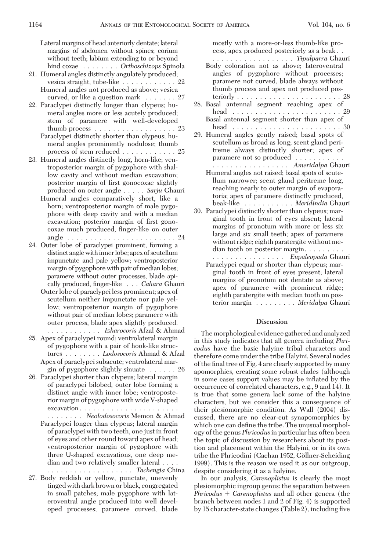Lateral margins of head anteriorly dentate; lateral margins of abdomen without spines; corium without teeth; labium extending to or beyond hind coxae ........ *Orthoschizops* Spinola

- 21. Humeral angles distinctly angulately produced; vesica straight, tube-like . . . . . . . . . . . . 22 Humeral angles not produced as above; vesica curved, or like a question mark . . . . . . . 27
- 22. Paraclypei distinctly longer than clypeus; humeral angles more or less acutely produced; stem of paramere with well-developed thumb process . . . . . . . . . . . . . . . . . . 23
	- Paraclypei distinctly shorter than clypeus; humeral angles prominently nodulose; thumb process of stem reduced . . . . . . . . . . . . 25
- 23. Humeral angles distinctly long, horn-like; ventroposterior margin of pygophore with shallow cavity and without median excavation; posterior margin of first gonocoxae slightly produced on outer angle ..... *Sarju* Ghauri
	- Humeral angles comparatively short, like a horn; ventroposterior margin of male pygophore with deep cavity and with a median excavation; posterior margin of first gonocoxae much produced, finger-like on outer angle . . . . . . . . . . . . . . . . . . . . . . . . 24
- 24. Outer lobe of paraclypei prominent, forming a distinct angle with inner lobe; apex of scutellum impunctate and pale yellow; ventroposterior margin of pygophore with pair of median lobes; paramere without outer processes, blade apically produced, finger-like . . . *Cahara* Ghauri
	- Outer lobe of paraclypei less prominent; apex of scutellum neither impunctate nor pale yellow; ventroposterior margin of pygophore without pair of median lobes; paramere with outer process, blade apex slightly produced.
- ............ *Izharocoris* Afzal & Ahmad 25. Apex of paraclypei round; ventrolateral margin of pygophore with a pair of hook-like structures ........ *Lodosocoris* Ahmad & Afzal Apex of paraclypei subacute; ventrolateral margin of pygophore slightly sinuate . . . . . . 26
- 26. Paraclypei shorter than clypeus; lateral margin of paraclypei bilobed, outer lobe forming a distinct angle with inner lobe; ventroposterior margin of pygophore with wide V-shaped excavation ......................
	- ........ *Neolodosocoris* Memon & Ahmad Paraclypei longer than clypeus; lateral margin of paraclypei with two teeth, one just in front of eyes and other round toward apex of head; ventroposterior margin of pygophore with three U-shaped excavations, one deep median and two relatively smaller lateral ....
- ................... *Tachengia* China 27. Body reddish or yellow, punctate, unevenly tinged with dark brown or black, congregated in small patches; male pygophore with lateroventral angle produced into well developed processes; paramere curved, blade

mostly with a more-or-less thumb-like process, apex produced posteriorly as a beak . .

- .................. *Tipulparra* Ghauri Body coloration not as above; lateroventral angles of pygophore without processes; paramere not curved, blade always without thumb process and apex not produced posteriorly . . . . . . . . . . . . . . . . . . . . . . . 28
- 28. Basal antennal segment reaching apex of head . . . . . . . . . . . . . . . . . . . . . . . . 29 Basal antennal segment shorter than apex of head . . . . . . . . . . . . . . . . . . . . . . . . 30
- 29. Humeral angles gently raised; basal spots of scutellum as broad as long; scent gland peritreme always distinctly shorter; apex of paramere not so produced . . . . . . . . . . . ................. *Ameridalpa* Ghauri
	- Humeral angles not raised; basal spots of scutellum narrower; scent gland peritreme long, reaching nearly to outer margin of evaporatoria; apex of paramere distinctly produced, beak-like ........... *Meridindia* Ghauri
- 30. Paraclypei distinctly shorter than clypeus; marginal tooth in front of eyes absent; lateral margins of pronotum with more or less six large and six small teeth; apex of paramere without ridge; eighth paratergite without median tooth on posterior margin........

................ *Eupaleopada* Ghauri Paraclypei equal or shorter than clypeus; mar-

ginal tooth in front of eyes present; lateral margins of pronotum not dentate as above; apex of paramere with prominent ridge; eighth paratergite with median tooth on posterior margin ......... *Meridalpa* Ghauri

# **Discussion**

The morphological evidence gathered and analyzed in this study indicates that all genera including *Phricodus* have the basic halyine tribal characters and therefore come under the tribe Halyini. Several nodes of the final tree of Fig. 4 are clearly supported by many apomorphies, creating some robust clades (although in some cases support values may be inßated by the occurrence of correlated characters, e.g., 9 and 14). It is true that some genera lack some of the halyine characters, but we consider this a consequence of their plesiomorphic condition. As Wall (2004) discussed, there are no clear-cut synapomorphies by which one can define the tribe. The unusual morphology of the genus *Phricodus*in particular has often been the topic of discussion by researchers about its position and placement within the Halyini, or in its own tribe the Phricodini (Cachan 1952, Göllner-Scheiding 1999). This is the reason we used it as our outgroup, despite considering it as a halyine.

In our analysis, *Carenoplistus* is clearly the most plesiomorphic ingroup genus: the separation between *Phricodus Carenoplistus* and all other genera (the branch between nodes 1 and 2 of Fig. 4) is supported by 15 character-state changes (Table 2), including five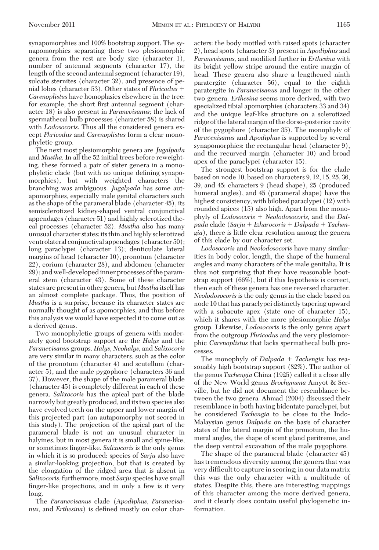synapomorphies and 100% bootstrap support. The synapomorphies separating these two plesiomorphic genera from the rest are body size (character 1), number of antennal segments (character 17), the length of the second antennal segment (character 19), sulcate sternites (character 32), and presence of penial lobes (character 53). Other states of *Phricodus Carenoplistus* have homoplasies elsewhere in the tree: for example, the short first antennal segment (character 18) is also present in *Paranevisanus;* the lack of spermathecal bulb processes (character 58) is shared with *Lodosocoris.* Thus all the considered genera except *Phricodus* and *Carenoplistus* form a clear monophyletic group.

The next most plesiomorphic genera are *Jugalpada* and *Mustha.* In all the 52 initial trees before reweighting, these formed a pair of sister genera in a monophyletic clade (but with no unique defining synapomorphies), but with weighted characters the branching was ambiguous. *Jugalpada* has some autapomorphies, especially male genital characters such as the shape of the parameral blade (character 45), its semisclerotized kidney-shaped ventral conjunctival appendages (character 51) and highly sclerotized thecal processes (character 52). *Mustha* also has many unusual character states:its thin and highly sclerotized ventrolateral conjunctival appendages (character 50); long paraclypei (character 13); denticulate lateral margins of head (character 10), pronotum (character 22), corium (character 28), and abdomen (character 29); and well-developed inner processes of the parameral stem (character 43). Some of these character states are present in other genera, but *Mustha* itself has an almost complete package. Thus, the position of *Mustha* is a surprise, because its character states are normally thought of as apomorphies, and thus before this analysis we would have expected it to come out as a derived genus.

Two monophyletic groups of genera with moderately good bootstrap support are the *Halys* and the *Paranevisanus* groups. *Halys, Neohalys,* and *Salixocoris* are very similar in many characters, such as the color of the pronotum (character 4) and scutellum (character 5), and the male pygophore (characters 36 and 37). However, the shape of the male parameral blade (character 45) is completely different in each of these genera. *Salixocoris* has the apical part of the blade narrowly but greatly produced, andits two species also have evolved teeth on the upper and lower margin of this projected part (an autapomorphy not scored in this study). The projection of the apical part of the parameral blade is not an unusual character in halyines, but in most genera it is small and spine-like, or sometimes finger-like. *Salixocoris* is the only genus in which it is so produced: species of *Sarju* also have a similar-looking projection, but that is created by the elongation of the ridged area that is absent in *Salixocoris;*furthermore, most *Sarju* species have small finger-like projections, and in only a few is it very long.

The *Paranevisanus* clade (*Apodiphus, Paranevisanus*, and *Erthesina*) is defined mostly on color char-

acters: the body mottled with raised spots (character 2), head spots (character 3) present in *Apodiphus* and *Paranevisanus,* and modified further in *Erthesina* with its bright yellow stripe around the entire margin of head. These genera also share a lengthened ninth paratergite (character 56), equal to the eighth paratergite in *Paranevisanus* and longer in the other two genera. *Erthesina* seems more derived, with two specialized tibial apomorphies (characters 33 and 34) and the unique leaf-like structure on a sclerotized ridge of the lateral margin of the dorso-posterior cavity of the pygophore (character 35). The monophyly of *Paravenisanus* and *Apodiphus* is supported by several synapomorphies: the rectangular head (character 9), and the recurved margin (character 10) and broad apex of the paraclypei (character 15).

The strongest bootstrap support is for the clade based on node 10, based on characters 9, 12, 15, 25, 36, 39, and 45: characters 9 (head shape), 25 (produced humeral angles), and 45 (parameral shape) have the highest consistency, with bilobed paraclypei (12) with rounded apices (15) also high. Apart from the monophyly of *Lodosocoris Neolodosocoris,* and the *Dalpada* clade (*Sarju Izharocoris Dalpada Tachengia*), there is little clear resolution among the genera of this clade by our character set.

*Lodosocoris* and *Neolodosocoris* have many similarities in body color, length, the shape of the humeral angles and many characters of the male genitalia. It is thus not surprising that they have reasonable bootstrap support (66%), but if this hypothesis is correct, then each of these genera has one reversed character. *Neolodosocoris* is the only genus in the clade based on node 10 that has paraclypei distinctly tapering upward with a subacute apex (state one of character 15), which it shares with the more plesiomorphic *Halys* group. Likewise, *Lodosocoris* is the only genus apart from the outgroup *Phricodus* and the very plesiomorphic *Carenoplistus* that lacks spermathecal bulb processes.

The monophyly of *Dalpada Tachengia* has reasonably high bootstrap support (82%). The author of the genus *Tachengia* China (1925) called it a close ally of the New World genus *Brochymena* Amyot & Serville, but he did not document the resemblance between the two genera. Ahmad (2004) discussed their resemblance in both having bidentate paraclypei, but he considered *Tachengia* to be close to the Indo-Malaysian genus *Dalpada* on the basis of character states of the lateral margin of the pronotum, the humeral angles, the shape of scent gland peritreme, and the deep ventral excavation of the male pygophore.

The shape of the parameral blade (character 45) has tremendous diversity among the genera that was very difficult to capture in scoring; in our data matrix this was the only character with a multitude of states. Despite this, there are interesting mappings of this character among the more derived genera, and it clearly does contain useful phylogenetic information.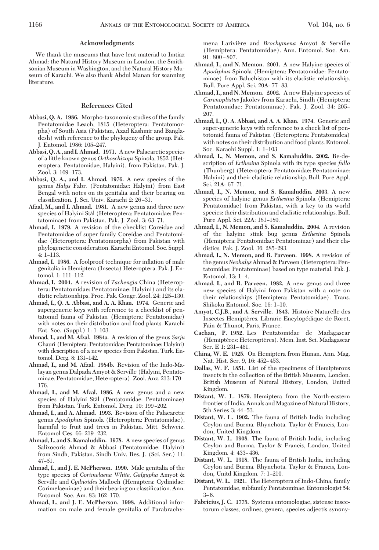### **Acknowledgments**

We thank the museums that have lent material to Imtiaz Ahmad: the Natural History Museum in London, the Smithsonian Museum in Washington, and the Natural History Museum of Karachi. We also thank Abdul Manan for scanning literature.

### **References Cited**

- **Abbasi, Q. A. 1986.** Morpho-taxonomic studies of the family Pentatomidae Leach, 1815 (Heteroptera: Pentatomorpha) of South Asia (Pakistan, Azad Kashmir and Bangladesh) with reference to the phylogeny of the group. Pak. J. Entomol. 1986: 105-247.
- **Abbasi, Q. A., and I. Ahmad. 1971.** A new Palaearctic species of a little known genus *Orthoschizops* Spinola, 1852 (Heteroptera, Pentatomidae, Halyini), from Pakistan. Pak. J. Zool. 3: 169-173.
- **Abbasi, Q. A., and I. Ahmad. 1976.** A new species of the genus *Halys* Fabr. (Pentatomidae: Halyini) from East Bengal with notes on its genitalia and their bearing on classification. J. Sci. Univ. Karachi 2: 26-31.
- **Afzal, M., and I. Ahmad. 1981.** A new genus and three new species of Halyini Stål (Heteroptera: Pentatomidae: Pentatominae) from Pakistan. Pak. J. Zool. 3: 63-71.
- **Ahmad, I. 1979.** A revision of the checklist Coreidae and Pentatomidae of super family Coreidae and Pentatomidae (Heteroptera: Pentatomorpha) from Pakistan with phylogenetic consideration. Karachi Entomol. Soc. Suppl.  $4: 1-113.$
- Ahmad, I. 1986. A foolproof technique for inflation of male genitalia in Hemiptera (Insecta) Heteroptera. Pak. J. Entomol. 1: 111-112.
- **Ahmad, I. 2004.** A revision of *Tachengia* China (Heteroptera: Pentatomidae: Pentatominae: Halyini) and its cladistic relationships. Proc. Pak. Congr. Zool. 24: 125-130.
- **Ahmad, I., Q. A. Abbasi, and A. A. Khan. 1974.** Generic and supergeneric keys with reference to a checklist of pentatomid fauna of Pakistan (Hemiptera: Pentatomidae) with notes on their distribution and food plants. Karachi Ent. Soc. (Suppl.)  $1: 1-103$ .
- **Ahmad, I., and M. Afzal. 1984a.** A revision of the genus *Sarju* Ghauri (Hemiptera: Pentatomidae: Pentatominae: Halyini) with description of a new species from Pakistan. Turk. Entomol. Derg. 8: 131-142.
- **Ahmad, I., and M. Afzal. 1984b.** Revision of the Indo-Malayan genus Dalpada Amyot & Serville (Halyini, Pentatominae, Pentatomidae, Heteroptera). Zool. Anz. 213: 170 – 176.
- **Ahmad, I., and M. Afzal. 1986.** A new genus and a new species of Halyini Stål (Pentatomidae: Pentatominae) from Pakistan. Turk. Entomol. Derg. 10: 199-202.
- **Ahmad, I., and A. Ahmad. 1993.** Revision of the Palaearctic genus *Apodiphus* Spinola (Heteroptera: Pentatomidae), harmful to fruit and trees in Pakistan. Mitt. Schweiz. Entomol Ges. 66: 219-232.
- **Ahmad, I., and S. Kamaluddin. 1978.** A new species of genus Salixocoris Ahmad & Abbasi (Pentatomidae: Halyini) from Sindh, Pakistan. Sindh Univ. Res. J. (Sci. Ser.) 11:  $47 - 51$ .
- **Ahmad, I., and J. E. McPherson. 1990.** Male genitalia of the type species of *Corimelaena White, Galgupha* Amyot & Serville and *Cydnoides* Malloch (Hemiptera: Cydinidae: Corimelaeninae) and their bearing on classification. Ann. Entomol. Soc. Am. 83: 162-170.
- **Ahmad, I., and J. E. McPherson. 1998.** Additional information on male and female genitalia of Parabrachy-

mena Larivière and *Brochymena* Amyot & Serville (Hemiptera: Pentatomidae). Ann. Entomol. Soc. Am.  $91:800 - 807.$ 

- **Ahmad, I., and N. Memon. 2001.** A new Halyine species of *Apodiphus* Spinola (Hemiptera: Pentatomidae: Pentatominae) from Baluchistan with its cladistic relationship. Bull. Pure Appl. Sci. 20A: 77-83.
- **Ahmad, I., and N. Memon. 2002.** A new Halyine species of *Carenoplistus* Jakolev from Karachi, Sindh (Hemiptera: Pentatomidae: Pentatominae). Pak. J. Zool. 34: 205-207.
- **Ahmad, I., Q. A. Abbasi, and A. A. Khan. 1974.** Generic and super-generic keys with reference to a check list of pentotomid fauna of Pakistan (Heteroptera: Pentatomidea) with notes on their distribution and food plants. Entomol. Soc. Karachi Suppl. 1: 1-103
- **Ahmad, I., N. Memon, and S. Kamaluddin. 2002.** Re-description of *Erthesina* Spinola with its type species *fullo* (Thunberg) (Heteroptera: Pentatomidae: Pentatominae: Halyini) and their cladistic relationship. Bull. Pure Appl. Sci. 21A: 67-71.
- **Ahmad, I., N. Memon, and S. Kamaluddin. 2003.** A new species of halyine genus *Erthesina* Spinola (Hemiptera: Pentatomidae) from Pakistan, with a key to its world species: their distribution and cladistic relationships. Bull. Pure Appl. Sci. 22A: 181-189.
- **Ahmad, I., N. Memon, and S. Kamaluddin. 2004.** A revision of the halyine stink bug genus *Erthesina* Spinola (Hemiptera: Pentatomidae: Pentatominae) and their cladistics. Pak. J. Zool. 36: 285-293.
- **Ahmad, I., N. Memon, and R. Parveen. 1998.** A revision of the genus *Neohalys*Ahmad & Parveen (Heteroptera: Pentatomidae: Pentatominae) based on type material. Pak. J. Entomol. 13: 1-4.
- **Ahmad, I., and R. Parveen. 1982.** A new genus and three new species of Halyini from Pakistan with a note on their relationships (Hemiptera: Pentatomidae). Trans. Shikoku Entomol. Soc. 16: 1-10.
- **Amyot, C.J.B., and A. Serville. 1843.** Histoire Naturelle des Insectes Hemiptères. Librarie Encylopédique de Roret, Fain & Thunot, Paris, France.
- **Cachan, P. 1952.** Les Pentatomidae de Madagascar (Hemiptères: Heteroptères). Mem. Inst. Sci. Madagascar  $Ser E 1: 231-461$ .
- **China, W. E. 1925.** On Hemiptera from Hunan. Ann. Mag. Nat. Hist. Ser. 9, 16: 452-453.
- **Dallas, W. F. 1851.** List of the specimens of Hemipterous insects in the collection of the British Museum, London. British Museum of Natural History, London, United Kingdom.
- **Distant, W. L. 1879.** Hemiptera from the North-eastern frontier of India. Annals and Magazine of Natural History, 5th Series 3: 44-53.
- **Distant, W. L. 1902.** The fauna of British India including Ceylon and Burma. Rhynchota. Taylor & Francis, London, United Kingdom.
- **Distant, W. L. 1908.** The fauna of British India, including Ceylon and Burma. Taylor & Francis, London, United Kingdom. 4: 433-436.
- **Distant, W. L. 1918.** The fauna of British India, including Ceylon and Burma. Rhynchota. Taylor & Francis, London, Unitd Kingdom. 7: 1-210.
- **Distant, W. L. 1921.** The Heteroptera of Indo-China, family Pentatomidae, subfamily Pentatominae. Entomologist 54:  $3 - 6.$
- **Fabricius, J. C. 1775.** Systema entomologiae, sistense insectorum classes, ordines, genera, species adjectis synony-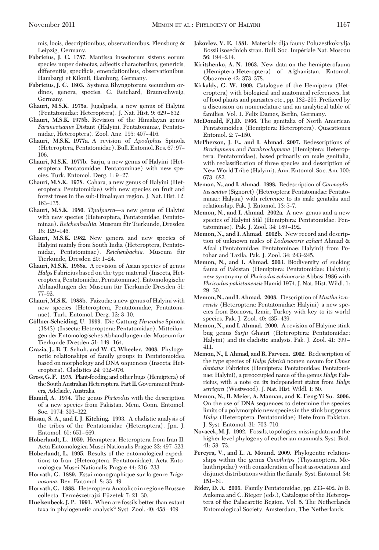- Leipzig, Germany. **Fabricius, J. C. 1787.** Mantissa insectorum sistens eorum species nuper detectas, adjectis characteribus, genericis, differentiis, specificis, emendationibus, observationibus.
- Hambargi et Kilonii, Hamburg, Germany. **Fabricius, J. C. 1803.** Systema Rhyngotorum secundum ordines, genera, species. C. Reichard, Braunschweig, Germany.
- **Ghauri, M.S.K. 1975a.** Jugalpada, a new genus of Halyini (Pentatomidae: Heteroptera). J. Nat. Hist. 9: 629-632.
- **Ghauri, M.S.K. 1975b.** Revision of the Himalayan genus *Paranevisanus* Distant (Halyini, Pentatominae, Pentatomidae, Heteroptera). Zool. Anz. 195: 407-416.
- **Ghauri, M.S.K. 1977a.** A revision of *Apodiphus* Spinola (Heteroptera, Pentatomidae). Bull. Entomol. Res. 67: 97– 106.
- **Ghauri, M.S.K. 1977b.** Sarju, a new genus of Halyini (Heteroptera: Pentatomidae: Pentatominae) with new species. Turk. Entomol. Derg. 1: 9-27.
- **Ghauri, M.S.K. 1978.** Cahara, a new genus of Halyini (Heteroptera: Pentatomidae) with new species on fruit and forest trees in the sub-Himalayan region. J. Nat. Hist. 12: 163–175
- **Ghauri, M.S.K. 1980.** *Tipulparra*—a new genus of Halyini with new species (Heteroptera, Pentatomidae, Pentatominae). *Reichenbachia.* Museum für Tierkunde, Dresden 18: 129-146.
- **Ghauri, M.S.K. 1982.** New genera and new species of Halyini mainly from South India (Heteroptera, Pentatomidae, Pentatominae). Reichenbachia. Museum für Tierkunde, Dresden 20: 1-24.
- **Ghauri, M.S.K. 1988a.** A revision of Asian species of genus *Halys* Fabricius based on the type material (Insecta, Heteroptera, Pentatomidae, Pentatominae). Entomologische Abhandlungen der Museum für Tierkunde Dresden 51: 77-92.
- **Ghauri, M.S.K. 1988b.** Faizuda: a new genus of Halyini with new species (Heteroptera, Pentatomidae, Pentatominae). Turk. Entomol. Derg. 12: 3-10.
- **Go¨llner-Scheiding, U. 1999.** Die Gattung *Phricodus* Spinola (1843) (Insecta: Heteroptera: Pentatomidae). Mitteilungen der Entomologisches Abhandlungen der Museum für Tierkunde Dresden 51: 149-164.
- **Grazia, J., R. T. Schuh, and W. C. Wheeler. 2008.** Phylogenetic relationships of family groups in Pentatomoidea based on morphology and DNA sequences (Insecta: Heteroptera). Cladistics 24: 932-976.
- **Gross, G. F. 1975.** Plant-feeding and other bugs (Hemiptera) of the South Australian Heteroptera. Part II. Government Printers, Adelaide, Australia.
- **Hamid, A. 1974.** The genus *Phricodus* with the description of a new species from Pakistan. Mem. Conn. Entomol. Soc. 1974: 303-322.
- **Hasan, S. A., and I. J. Kitching. 1993.** A cladistic analysis of the tribes of the Pentatomidae (Heteroptera). Jpn. J. Entomol. 61: 651-669.
- **Hoberlandt, L. 1959.** Hemiptera, Heteroptera from Iran II. Acta Entomologica Musei Nationalis Pragae 33: 497–523.
- **Hoberlandt, L. 1995.** Results of the entomological expeditions to Iran (Heteroptera, Pentatomidae). Acta Entomologica Musei Nationalis Pragae 44: 216-233.
- **Horvath, G. 1889.** Essai monographique sur la genre *Trigonosoma.* Rev. Entomol. 8: 33-49.
- **Horvath, G. 1888.** Heteroptera Anatolico in regione Brussae collecta. Természetrajzi Füzetek 7: 21-30.
- **Huelsenbeck, J. P. 1991.** When are fossils better than extant taxa in phylogenetic analysis? Syst. Zool. 40: 458-469.
- **Jakovlev, V. E. 1881.** Materialy dlja fauny Poluzestkokrylja Rossii isosednich stran. Bull. Soc. Impériale Nat. Moscou 56: 194-214.
- **Kiritshenko, A. N. 1963.** New data on the hemipterofauna (Hemiptera-Heteroptera) of Afghanistan. Entomol. Obozrenie 42: 373-378.
- **Kirkaldy, G. W. 1909.** Catalogue of the Hemiptera (Heteroptera) with biological and anatomical references, list of food plants and parasites etc., pp. 182-205. Prefaced by a discussion on nomenclature and an analytical table of families. Vol. 1. Felix Dames, Berlin, Germany.
- **McDonald, F.J.D. 1966.** The genitalia of North American Pentatomoidea (Hemiptera: Heteroptera). Quaestiones Entomol. 2: 7-150.
- **McPherson, J. E., and I. Ahmad. 2007.** Redescriptions of *Brochymena* and *Parabrochymena* (Hemiptera: Heteroptera: Pentatomidae), based primarily on male genitalia, with reclassification of three species and description of NewWorld Tribe (Halyini). Ann. Entomol. Soc. Am. 100: 673-682.
- **Memon, N., and I. Ahmad. 1998.** Redescription of *Carenoplistus acutus* (Signoret) (Heteroptera: Pentatomidae: Pentatominae: Halyini) with reference to its male genitalia and relationship. Pak. J. Entomol. 13: 5–7.
- **Memon, N., and I. Ahmad. 2002a.** A new genus and a new species of Halyini Stål (Hemiptera: Pentatomidae: Pentatominae). Pak. J. Zool. 34: 189-192.
- **Memon, N., and I. Ahmad. 2002b.** New record and description of unknown males of *Lodosocoris azhari* Ahmad & Afzal (Pentatomidae: Pentatominae: Halyini) from Potohar and Taxila. Pak. J. Zool. 34: 243-245.
- **Memon, N., and I. Ahmad. 2003.** Biodiversity of sucking fauna of Pakistan (Hemiptera: Pentatomidae: Halyini): new synonymy of *Phricodus echinocoris* Abbasi 1986 with *Phricodus pakistanensis* Hamid 1974. J. Nat. Hist. Wildl. 1:  $29 - 30.$
- **Memon, N., and I. Ahmad. 2008.** Description of *Mustha izmrensis* (Heteroptera: Pentatomidae: Halyini) a new species from Bornova, Izmir, Turkey with key to its world species. Pak. J. Zool. 40: 435-439.
- **Memon, N., and I. Ahmad. 2009.** A revision of Halyine stink bug genus *Sarju* Ghauri (Heteroptera: Pentatomidae: Halyini) and its cladistic analysis. Pak. J. Zool. 41: 399-411.
- **Memon, N., I. Ahmad, and R. Parveen. 2002.** Redescription of the type species of *Halys fabricii* nomen novum for *Cimex dentatus* Fabricius (Hemiptera: Pentatomidae: Pentatominae: Halyini), a preoccupied name of the genus *Halys* Fabricius, with a note on its independent status from *Halys serrigera* (Westwood). J. Nat. Hist. Wildl. 1: 50.
- **Memon, N., R. Meier, A. Mannan, and K. Feng-Yi Su. 2006.** On the use of DNA sequences to determine the species limits of a polymorphic new species in the stink bug genus *Halys* (Heteroptera: Pentatomidae) Hete from Pakistan. J. Syst. Entomol. 31: 703-710.
- **Novacek, M. J. 1992.** Fossils, topologies, missing data and the higher level phylogeny of eutherian mammals. Syst. Biol. 41: 58-73.
- **Pereyra, V., and L. A. Mound. 2009.** Phylogentic relationships within the genus *Canothrips* (Thysanoptera, Melanthripidae) with consideration of host associations and disjunct distributions within the family. Syst. Entomol. 34:  $151 - 61.$
- **Rider, D. A. 2006.** Family Pentatomidae, pp. 233–402. *In* B. Aukema and C. Rieger (eds.), Catalogue of the Heteroptera of the Palaearctic Region. Vol. 5. The Netherlands Entomological Society, Amsterdam, The Netherlands.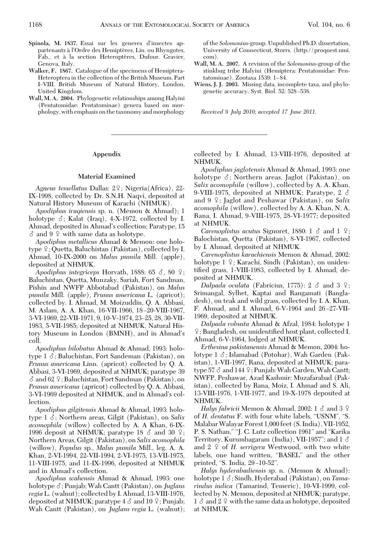- Spinola, M. 1837. Essai sur les generes d'insectes appartenants à l'Ordre des Hemiptères, Lin. ou Rhyngotes, Fab., et à la section Heteroptères, Dufour. Gravier, Genova, Italy.
- **Walker, F. 1867.** Catalogue of the specimens of Hemiptera-Heteroptera in the collection of the British Museum. Part I-VIII. British Museum of Natural History, London, United Kingdom.
- **Wall, M. A. 2004.** Phylogenetic relationships among Halyini (Pentatomidae: Pentatominae) genera based on morphology, with emphasis on the taxonomy and morphology

# **Appendix**

### **Material Examined**

Agaeus tessellatus Dallas: 2<sup>2</sup>; Nigeria(Africa), 22-IX-1998, collected by Dr. S.N.H. Naqvi, deposited at Natural History Museum of Karachi (NHMUK).

*Apodiphus iraqiensis* sp. n. (Memon & Ahmad); 1 holotype  $\delta$ ; Kalat (Iraq), 4-X-1972, collected by I. Ahmad, deposited in Ahmad's collection; Paratype, 15  $\delta$  and 9  $\circ$  with same data as holotype.

*Apodiphus metallicus* Ahmad & Memon: one holotype ♀; Quetta, Baluchistan (Pakistan), collected by I. Ahmad, 10-IX-2000 on *Malus pumila* Mill. (apple), deposited at NHMUK.

*Apodiphus integriceps Horvath, 1888: 65*  $\delta$ *, 80*  $\circ$ *;* Baluchistan, Quetta, Munzaky, Sariah, Fort Sandman, Pishin and NWFP Abbotabad (Pakistan), on *Malus pumila* Mill. (apple), *Prunus americana* L. (apricot); collected by. I. Ahmad, M. Moizuddin, Q. A. Abbasi, M. Aslam, A. A. Khan, 16-VII-1966, 18-20-VIII-1967, 3-VI-1969, 22-VII-1971, 9, 10-V-1974, 23-25, 28, 30-VII-1983, 5-VII-1985; deposited at NHMUK, Natural History Museum in London (BMNH), and in Ahmad's coll.

*Apodiphus bilobatus* Ahmad & Ahmad, 1993: holotype  $1 \delta$ ; Baluchistan, Fort Sandeman (Pakistan), on *Prunus americana* Linn. (apricot) collected by Q. A. Abbasi, 3-VI-1969, deposited at NHMUK; paratype 39  $\delta$  and 62  $\circ$ ; Baluchistan, Fort Sandman (Pakistan), on *Prunus americana* (apricot) collected by Q. A. Abbasi, 3-VI-1969 deposited at NHMUK, and in Ahmad's collection.

*Apodiphus gilgitensis* Ahmad & Ahmad, 1993: holotype 1  $\delta$ ; Northern areas, Gilgit (Pakistan), on *Salix acomophila* (willow) collected by A. A Khan, 6-IX-1996 deposit at NHMUK; paratype 18  $\delta$  and 30  $\circ$ ; Northern Areas, Gilgit (Pakistan), on *Salix acomophila* (willow), *Populus* sp., *Malus pumila* Mill., leg. A. A. Khan, 2-VI-1994, 22-VII-1994, 2-VI-1975, 13-VII-1975, 11-VIII-1975, and 11-IX-1996, deposited at NHMUK and in Ahmad's collection.

*Apodiphus wahensis* Ahmad & Ahmad, 1993: one holotype  $\delta$ ; Punjab; Wah Cantt (Pakistan), on *Juglans regia*L. (walnut); collected by I. Ahmad, 13-VIII-1976, deposited at NHMUK; paratype 4  $\delta$  and 10  $\c\$  ; Punjab; Wah Cantt (Pakistan), on *Juglans regia* L. (walnut); of the *Solomonius*-group. Unpublished Ph.D. dissertation, University of Connecticut, Storrs. (http://proquest.umi. com).

- **Wall, M. A. 2007.** A revision of the *Solomonius*-group of the stinkbug tribe Halyini (Hemiptera: Pentatomidae: Pentatominae). Zootaxa 1539: 1-84.
- **Wiens, J. J. 2003.** Missing data, incomplete taxa, and phylogenetic accuracy. Syst. Biol. 52: 528-538.

*Received 9 July 2010; accepted 17 June 2011.*

collected by I. Ahmad, 13-VIII-1976, deposited at NHMUK.

*Apodiphus jaglotensis* Ahmad & Ahmad, 1993: one holotype  $\delta$ ; Northern areas, Jaglot (Pakistan), on *Salix acomophila* (willow), collected by A. A. Khan, 9-VIII-1975, deposited at NHMUK; Paratype, 2  $\delta$ and 9 <sup>2</sup>; Jaglot and Peshawar (Pakistan), on Salix *acomophila* (willow), collected by A. A. Khan, N. A. Rana, I. Ahmad, 9-VIII-1975, 28-VI-1977; deposited at NHMUK.

*Carenoplistus acutus* Signoret, 1880:  $1 \delta$  and  $1 \epsilon$ ; Balochistan, Quetta (Pakistan), 8-VI-1967, collected by I. Ahmad, deposited at NHMUK.

*Carenoplistus karachiensis* Memon & Ahmad, 2002: holotype 1–2; Karachi, Sindh (Pakistan), on unidentified grass, 1-VIII-1983, collected by I. Ahmad, deposited at NHMUK.

Dalpada oculata (Fabricius, 1775):  $2 \text{ } \delta \text{ }$  and  $3 \text{ } \frac{1}{2}$ ; Srimangal, Sylhet, Kaptai and Rangamati (Bangladesh), on teak and wild grass, collected by I. A. Khan, F. Ahmad, and I. Ahmad, 6-V-1964 and 26-27-VII-1969, deposited at NHMUK.

*Dalpada robusta* Ahmad & Afzal, 1984: holotype 1  $\mathcal{Q}$ ; Bangladesh, on unidentified host plant, collected I. Ahmad, 6-V-1964, lodged at NHMUK.

*Erthesina pakistanensis* Ahmad & Memon, 2004: holotype 1  $\delta$ ; Islamabad (Potohar), Wah Garden (Pakistan), 1-VII-1997, Rana, deposited at NHMUK; paratype 57 & and 144 ♀; Punjab: Wah Garden, Wah Cantt; NWFP, Peshawar, Azad Kashmir: Muzafarabad (Pakistan), collected by Rana, Moiz, I. Ahmad and S. Ali, 13-VIII-1976, 1-VII-1977, and 19-X-1978 deposited at NHMUK.

*Halys fabricii* Memon & Ahmad, 2002: 1  $\delta$  and 3  $\Omega$ of *H. dentatus* F. with four white labels, "USNM", "S. MalabarWalayar Forest 1,000 feet (S. India), VII-1952, P. S. Nathan," "J. C. Lutz collection 1961" and "Karika Territory, Kurumbagaram (India), VII-1957"; and  $1 \delta$ and 2 <sup>2</sup> of *H. serrigera* Westwood, with two white labels, one hand written, "BASEL" and the other printed, "S. India,  $29-10-52$ ".

*Halys hyderabadiensis* sp. n. (Memon & Ahmad): holotype 1  $\delta$ ; Sindh, Hyderabad (Pakistan), on *Tamarindus indica* (Tamarind, Temeric), 10-VI-1999, collected by N. Memon, deposited at NHMUK; paratype,  $1 \, \delta$  and  $2 \, \Omega$  with the same data as holotype, deposited at NHMUK.